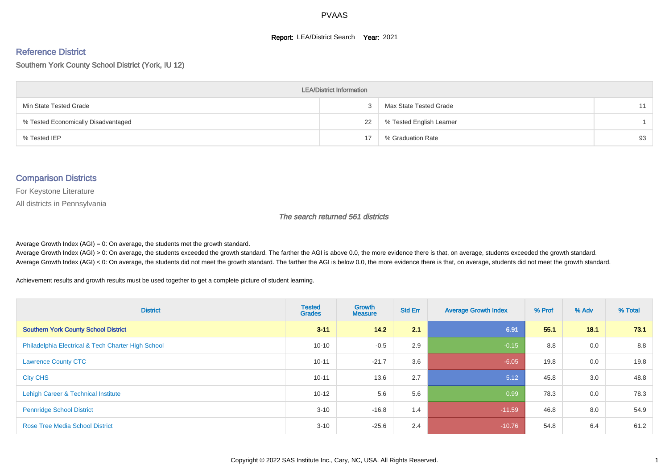#### **Report: LEA/District Search Year: 2021**

# Reference District

#### Southern York County School District (York, IU 12)

| <b>LEA/District Information</b>     |    |                          |    |  |  |  |  |  |  |  |
|-------------------------------------|----|--------------------------|----|--|--|--|--|--|--|--|
| Min State Tested Grade              |    | Max State Tested Grade   | 11 |  |  |  |  |  |  |  |
| % Tested Economically Disadvantaged | 22 | % Tested English Learner |    |  |  |  |  |  |  |  |
| % Tested IEP                        | 17 | % Graduation Rate        | 93 |  |  |  |  |  |  |  |

#### Comparison Districts

For Keystone Literature

All districts in Pennsylvania

The search returned 561 districts

Average Growth Index  $(AGI) = 0$ : On average, the students met the growth standard.

Average Growth Index (AGI) > 0: On average, the students exceeded the growth standard. The farther the AGI is above 0.0, the more evidence there is that, on average, students exceeded the growth standard. Average Growth Index (AGI) < 0: On average, the students did not meet the growth standard. The farther the AGI is below 0.0, the more evidence there is that, on average, students did not meet the growth standard.

Achievement results and growth results must be used together to get a complete picture of student learning.

| <b>District</b>                                    | <b>Tested</b><br><b>Grades</b> | <b>Growth</b><br><b>Measure</b> | <b>Std Err</b> | <b>Average Growth Index</b> | % Prof | % Adv | % Total |
|----------------------------------------------------|--------------------------------|---------------------------------|----------------|-----------------------------|--------|-------|---------|
| <b>Southern York County School District</b>        | $3 - 11$                       | 14.2                            | 2.1            | 6.91                        | 55.1   | 18.1  | 73.1    |
| Philadelphia Electrical & Tech Charter High School | $10 - 10$                      | $-0.5$                          | 2.9            | $-0.15$                     | 8.8    | 0.0   | 8.8     |
| <b>Lawrence County CTC</b>                         | $10 - 11$                      | $-21.7$                         | 3.6            | $-6.05$                     | 19.8   | 0.0   | 19.8    |
| <b>City CHS</b>                                    | $10 - 11$                      | 13.6                            | 2.7            | 5.12                        | 45.8   | 3.0   | 48.8    |
| Lehigh Career & Technical Institute                | $10 - 12$                      | 5.6                             | 5.6            | 0.99                        | 78.3   | 0.0   | 78.3    |
| <b>Pennridge School District</b>                   | $3 - 10$                       | $-16.8$                         | 1.4            | $-11.59$                    | 46.8   | 8.0   | 54.9    |
| <b>Rose Tree Media School District</b>             | $3 - 10$                       | $-25.6$                         | 2.4            | $-10.76$                    | 54.8   | 6.4   | 61.2    |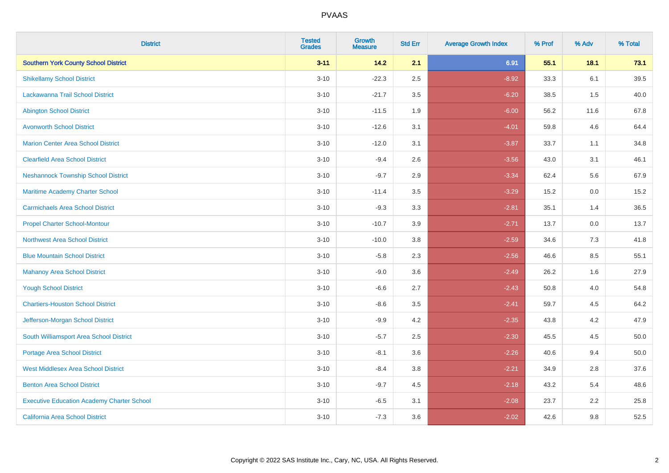| <b>District</b>                                   | <b>Tested</b><br><b>Grades</b> | <b>Growth</b><br><b>Measure</b> | <b>Std Err</b> | <b>Average Growth Index</b> | % Prof | % Adv | % Total  |
|---------------------------------------------------|--------------------------------|---------------------------------|----------------|-----------------------------|--------|-------|----------|
| <b>Southern York County School District</b>       | $3 - 11$                       | $14.2$                          | 2.1            | 6.91                        | 55.1   | 18.1  | 73.1     |
| <b>Shikellamy School District</b>                 | $3 - 10$                       | $-22.3$                         | 2.5            | $-8.92$                     | 33.3   | 6.1   | 39.5     |
| Lackawanna Trail School District                  | $3 - 10$                       | $-21.7$                         | 3.5            | $-6.20$                     | 38.5   | 1.5   | 40.0     |
| <b>Abington School District</b>                   | $3 - 10$                       | $-11.5$                         | 1.9            | $-6.00$                     | 56.2   | 11.6  | 67.8     |
| <b>Avonworth School District</b>                  | $3 - 10$                       | $-12.6$                         | 3.1            | $-4.01$                     | 59.8   | 4.6   | 64.4     |
| <b>Marion Center Area School District</b>         | $3 - 10$                       | $-12.0$                         | 3.1            | $-3.87$                     | 33.7   | 1.1   | 34.8     |
| <b>Clearfield Area School District</b>            | $3 - 10$                       | $-9.4$                          | 2.6            | $-3.56$                     | 43.0   | 3.1   | 46.1     |
| <b>Neshannock Township School District</b>        | $3 - 10$                       | $-9.7$                          | 2.9            | $-3.34$                     | 62.4   | 5.6   | 67.9     |
| <b>Maritime Academy Charter School</b>            | $3 - 10$                       | $-11.4$                         | 3.5            | $-3.29$                     | 15.2   | 0.0   | 15.2     |
| <b>Carmichaels Area School District</b>           | $3 - 10$                       | $-9.3$                          | 3.3            | $-2.81$                     | 35.1   | 1.4   | 36.5     |
| <b>Propel Charter School-Montour</b>              | $3 - 10$                       | $-10.7$                         | 3.9            | $-2.71$                     | 13.7   | 0.0   | 13.7     |
| Northwest Area School District                    | $3 - 10$                       | $-10.0$                         | 3.8            | $-2.59$                     | 34.6   | 7.3   | 41.8     |
| <b>Blue Mountain School District</b>              | $3 - 10$                       | $-5.8$                          | 2.3            | $-2.56$                     | 46.6   | 8.5   | 55.1     |
| <b>Mahanoy Area School District</b>               | $3 - 10$                       | $-9.0$                          | 3.6            | $-2.49$                     | 26.2   | 1.6   | 27.9     |
| <b>Yough School District</b>                      | $3 - 10$                       | $-6.6$                          | 2.7            | $-2.43$                     | 50.8   | 4.0   | 54.8     |
| <b>Chartiers-Houston School District</b>          | $3 - 10$                       | $-8.6$                          | 3.5            | $-2.41$                     | 59.7   | 4.5   | 64.2     |
| Jefferson-Morgan School District                  | $3 - 10$                       | $-9.9$                          | 4.2            | $-2.35$                     | 43.8   | 4.2   | 47.9     |
| South Williamsport Area School District           | $3 - 10$                       | $-5.7$                          | 2.5            | $-2.30$                     | 45.5   | 4.5   | $50.0\,$ |
| <b>Portage Area School District</b>               | $3 - 10$                       | $-8.1$                          | 3.6            | $-2.26$                     | 40.6   | 9.4   | 50.0     |
| <b>West Middlesex Area School District</b>        | $3 - 10$                       | $-8.4$                          | 3.8            | $-2.21$                     | 34.9   | 2.8   | 37.6     |
| <b>Benton Area School District</b>                | $3 - 10$                       | $-9.7$                          | 4.5            | $-2.18$                     | 43.2   | 5.4   | 48.6     |
| <b>Executive Education Academy Charter School</b> | $3 - 10$                       | $-6.5$                          | 3.1            | $-2.08$                     | 23.7   | 2.2   | 25.8     |
| <b>California Area School District</b>            | $3 - 10$                       | $-7.3$                          | 3.6            | $-2.02$                     | 42.6   | 9.8   | 52.5     |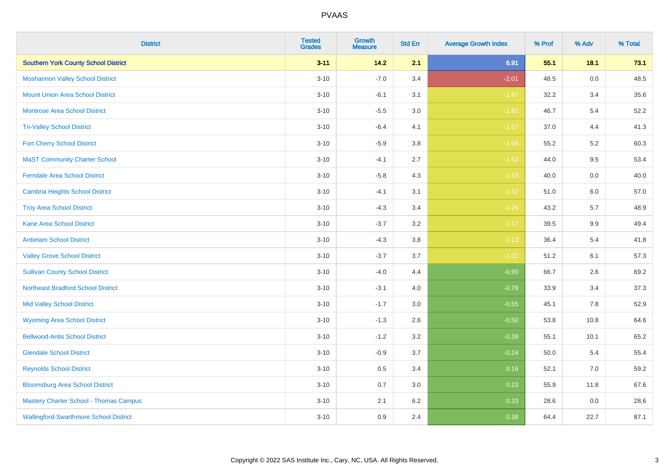| <b>District</b>                               | <b>Tested</b><br><b>Grades</b> | <b>Growth</b><br><b>Measure</b> | <b>Std Err</b> | <b>Average Growth Index</b> | % Prof | % Adv   | % Total |
|-----------------------------------------------|--------------------------------|---------------------------------|----------------|-----------------------------|--------|---------|---------|
| <b>Southern York County School District</b>   | $3 - 11$                       | $14.2$                          | 2.1            | 6.91                        | 55.1   | 18.1    | 73.1    |
| <b>Moshannon Valley School District</b>       | $3 - 10$                       | $-7.0$                          | 3.4            | $-2.01$                     | 48.5   | 0.0     | 48.5    |
| <b>Mount Union Area School District</b>       | $3 - 10$                       | $-6.1$                          | 3.1            | $-1.97$                     | 32.2   | 3.4     | 35.6    |
| <b>Montrose Area School District</b>          | $3 - 10$                       | $-5.5$                          | 3.0            | $-1.82$                     | 46.7   | 5.4     | 52.2    |
| <b>Tri-Valley School District</b>             | $3 - 10$                       | $-6.4$                          | 4.1            | $-1.57$                     | 37.0   | 4.4     | 41.3    |
| <b>Fort Cherry School District</b>            | $3 - 10$                       | $-5.9$                          | 3.8            | $-1.56$                     | 55.2   | 5.2     | 60.3    |
| <b>MaST Community Charter School</b>          | $3 - 10$                       | $-4.1$                          | 2.7            | $-1.52$                     | 44.0   | 9.5     | 53.4    |
| <b>Ferndale Area School District</b>          | $3 - 10$                       | $-5.8$                          | 4.3            | $-1.33$                     | 40.0   | 0.0     | 40.0    |
| <b>Cambria Heights School District</b>        | $3 - 10$                       | $-4.1$                          | 3.1            | $-1.32$                     | 51.0   | 6.0     | 57.0    |
| <b>Troy Area School District</b>              | $3 - 10$                       | $-4.3$                          | 3.4            | $-1.26$                     | 43.2   | 5.7     | 48.9    |
| <b>Kane Area School District</b>              | $3 - 10$                       | $-3.7$                          | 3.2            | $-1.17$                     | 39.5   | 9.9     | 49.4    |
| <b>Antietam School District</b>               | $3 - 10$                       | $-4.3$                          | 3.8            | $-1.13$                     | 36.4   | 5.4     | 41.8    |
| <b>Valley Grove School District</b>           | $3 - 10$                       | $-3.7$                          | 3.7            | $-1.01$                     | 51.2   | 6.1     | 57.3    |
| <b>Sullivan County School District</b>        | $3 - 10$                       | $-4.0$                          | 4.4            | $-0.90$                     | 66.7   | 2.6     | 69.2    |
| <b>Northeast Bradford School District</b>     | $3 - 10$                       | $-3.1$                          | 4.0            | $-0.78$                     | 33.9   | 3.4     | 37.3    |
| <b>Mid Valley School District</b>             | $3 - 10$                       | $-1.7$                          | 3.0            | $-0.55$                     | 45.1   | $7.8\,$ | 52.9    |
| <b>Wyoming Area School District</b>           | $3 - 10$                       | $-1.3$                          | 2.6            | $-0.50$                     | 53.8   | 10.8    | 64.6    |
| <b>Bellwood-Antis School District</b>         | $3 - 10$                       | $-1.2$                          | 3.2            | $-0.39$                     | 55.1   | 10.1    | 65.2    |
| <b>Glendale School District</b>               | $3 - 10$                       | $-0.9$                          | 3.7            | $-0.24$                     | 50.0   | 5.4     | 55.4    |
| <b>Reynolds School District</b>               | $3 - 10$                       | 0.5                             | 3.4            | 0.16                        | 52.1   | 7.0     | 59.2    |
| <b>Bloomsburg Area School District</b>        | $3 - 10$                       | 0.7                             | 3.0            | 0.23                        | 55.9   | 11.8    | 67.6    |
| <b>Mastery Charter School - Thomas Campus</b> | $3 - 10$                       | 2.1                             | 6.2            | 0.33                        | 28.6   | 0.0     | 28.6    |
| <b>Wallingford-Swarthmore School District</b> | $3 - 10$                       | 0.9                             | 2.4            | 0.38                        | 64.4   | 22.7    | 87.1    |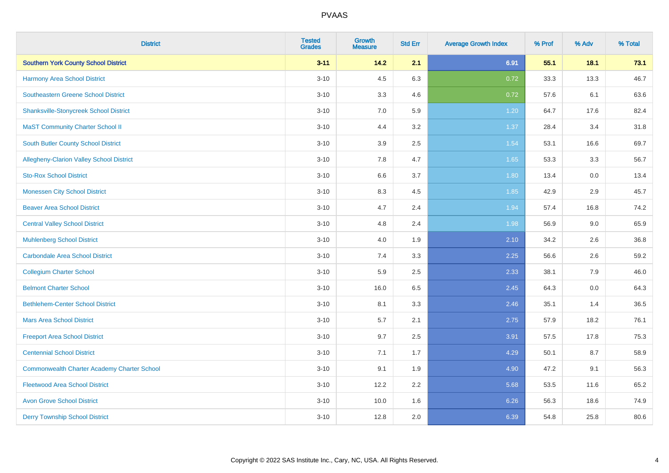| <b>District</b>                                    | <b>Tested</b><br><b>Grades</b> | <b>Growth</b><br><b>Measure</b> | <b>Std Err</b> | <b>Average Growth Index</b> | % Prof | % Adv | % Total |
|----------------------------------------------------|--------------------------------|---------------------------------|----------------|-----------------------------|--------|-------|---------|
| <b>Southern York County School District</b>        | $3 - 11$                       | 14.2                            | 2.1            | 6.91                        | 55.1   | 18.1  | 73.1    |
| <b>Harmony Area School District</b>                | $3 - 10$                       | 4.5                             | 6.3            | 0.72                        | 33.3   | 13.3  | 46.7    |
| <b>Southeastern Greene School District</b>         | $3 - 10$                       | 3.3                             | 4.6            | 0.72                        | 57.6   | 6.1   | 63.6    |
| <b>Shanksville-Stonycreek School District</b>      | $3 - 10$                       | 7.0                             | 5.9            | 1.20                        | 64.7   | 17.6  | 82.4    |
| <b>MaST Community Charter School II</b>            | $3 - 10$                       | 4.4                             | 3.2            | 1.37                        | 28.4   | 3.4   | 31.8    |
| <b>South Butler County School District</b>         | $3 - 10$                       | 3.9                             | 2.5            | 1.54                        | 53.1   | 16.6  | 69.7    |
| Allegheny-Clarion Valley School District           | $3 - 10$                       | 7.8                             | 4.7            | 1.65                        | 53.3   | 3.3   | 56.7    |
| <b>Sto-Rox School District</b>                     | $3 - 10$                       | 6.6                             | 3.7            | 1.80                        | 13.4   | 0.0   | 13.4    |
| <b>Monessen City School District</b>               | $3 - 10$                       | 8.3                             | 4.5            | 1.85                        | 42.9   | 2.9   | 45.7    |
| <b>Beaver Area School District</b>                 | $3 - 10$                       | 4.7                             | 2.4            | 1.94                        | 57.4   | 16.8  | 74.2    |
| <b>Central Valley School District</b>              | $3 - 10$                       | 4.8                             | 2.4            | 1.98                        | 56.9   | 9.0   | 65.9    |
| <b>Muhlenberg School District</b>                  | $3 - 10$                       | 4.0                             | 1.9            | 2.10                        | 34.2   | 2.6   | 36.8    |
| Carbondale Area School District                    | $3 - 10$                       | 7.4                             | 3.3            | 2.25                        | 56.6   | 2.6   | 59.2    |
| <b>Collegium Charter School</b>                    | $3 - 10$                       | 5.9                             | 2.5            | 2.33                        | 38.1   | 7.9   | 46.0    |
| <b>Belmont Charter School</b>                      | $3 - 10$                       | 16.0                            | 6.5            | 2.45                        | 64.3   | 0.0   | 64.3    |
| <b>Bethlehem-Center School District</b>            | $3 - 10$                       | 8.1                             | 3.3            | 2.46                        | 35.1   | 1.4   | 36.5    |
| <b>Mars Area School District</b>                   | $3 - 10$                       | 5.7                             | 2.1            | 2.75                        | 57.9   | 18.2  | 76.1    |
| <b>Freeport Area School District</b>               | $3 - 10$                       | 9.7                             | 2.5            | 3.91                        | 57.5   | 17.8  | 75.3    |
| <b>Centennial School District</b>                  | $3 - 10$                       | 7.1                             | 1.7            | 4.29                        | 50.1   | 8.7   | 58.9    |
| <b>Commonwealth Charter Academy Charter School</b> | $3 - 10$                       | 9.1                             | 1.9            | 4.90                        | 47.2   | 9.1   | 56.3    |
| <b>Fleetwood Area School District</b>              | $3 - 10$                       | 12.2                            | 2.2            | 5.68                        | 53.5   | 11.6  | 65.2    |
| <b>Avon Grove School District</b>                  | $3 - 10$                       | 10.0                            | 1.6            | 6.26                        | 56.3   | 18.6  | 74.9    |
| <b>Derry Township School District</b>              | $3 - 10$                       | 12.8                            | 2.0            | 6.39                        | 54.8   | 25.8  | 80.6    |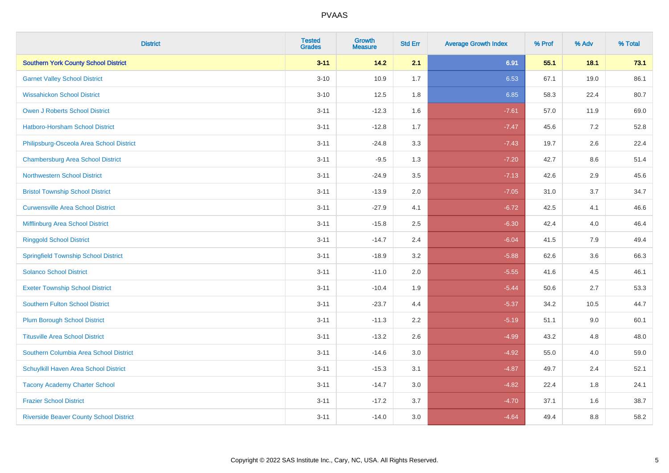| <b>District</b>                                | <b>Tested</b><br><b>Grades</b> | <b>Growth</b><br><b>Measure</b> | <b>Std Err</b> | <b>Average Growth Index</b> | % Prof | % Adv   | % Total |
|------------------------------------------------|--------------------------------|---------------------------------|----------------|-----------------------------|--------|---------|---------|
| <b>Southern York County School District</b>    | $3 - 11$                       | $14.2$                          | 2.1            | 6.91                        | 55.1   | 18.1    | 73.1    |
| <b>Garnet Valley School District</b>           | $3 - 10$                       | 10.9                            | 1.7            | 6.53                        | 67.1   | 19.0    | 86.1    |
| <b>Wissahickon School District</b>             | $3 - 10$                       | 12.5                            | 1.8            | 6.85                        | 58.3   | 22.4    | 80.7    |
| <b>Owen J Roberts School District</b>          | $3 - 11$                       | $-12.3$                         | 1.6            | $-7.61$                     | 57.0   | 11.9    | 69.0    |
| Hatboro-Horsham School District                | $3 - 11$                       | $-12.8$                         | 1.7            | $-7.47$                     | 45.6   | 7.2     | 52.8    |
| Philipsburg-Osceola Area School District       | $3 - 11$                       | $-24.8$                         | 3.3            | $-7.43$                     | 19.7   | 2.6     | 22.4    |
| <b>Chambersburg Area School District</b>       | $3 - 11$                       | $-9.5$                          | 1.3            | $-7.20$                     | 42.7   | $8.6\,$ | 51.4    |
| <b>Northwestern School District</b>            | $3 - 11$                       | $-24.9$                         | 3.5            | $-7.13$                     | 42.6   | 2.9     | 45.6    |
| <b>Bristol Township School District</b>        | $3 - 11$                       | $-13.9$                         | 2.0            | $-7.05$                     | 31.0   | 3.7     | 34.7    |
| <b>Curwensville Area School District</b>       | $3 - 11$                       | $-27.9$                         | 4.1            | $-6.72$                     | 42.5   | 4.1     | 46.6    |
| Mifflinburg Area School District               | $3 - 11$                       | $-15.8$                         | 2.5            | $-6.30$                     | 42.4   | 4.0     | 46.4    |
| <b>Ringgold School District</b>                | $3 - 11$                       | $-14.7$                         | 2.4            | $-6.04$                     | 41.5   | 7.9     | 49.4    |
| <b>Springfield Township School District</b>    | $3 - 11$                       | $-18.9$                         | 3.2            | $-5.88$                     | 62.6   | 3.6     | 66.3    |
| <b>Solanco School District</b>                 | $3 - 11$                       | $-11.0$                         | 2.0            | $-5.55$                     | 41.6   | 4.5     | 46.1    |
| <b>Exeter Township School District</b>         | $3 - 11$                       | $-10.4$                         | 1.9            | $-5.44$                     | 50.6   | 2.7     | 53.3    |
| <b>Southern Fulton School District</b>         | $3 - 11$                       | $-23.7$                         | 4.4            | $-5.37$                     | 34.2   | 10.5    | 44.7    |
| <b>Plum Borough School District</b>            | $3 - 11$                       | $-11.3$                         | 2.2            | $-5.19$                     | 51.1   | 9.0     | 60.1    |
| <b>Titusville Area School District</b>         | $3 - 11$                       | $-13.2$                         | 2.6            | $-4.99$                     | 43.2   | 4.8     | 48.0    |
| Southern Columbia Area School District         | $3 - 11$                       | $-14.6$                         | 3.0            | $-4.92$                     | 55.0   | 4.0     | 59.0    |
| Schuylkill Haven Area School District          | $3 - 11$                       | $-15.3$                         | 3.1            | $-4.87$                     | 49.7   | 2.4     | 52.1    |
| <b>Tacony Academy Charter School</b>           | $3 - 11$                       | $-14.7$                         | 3.0            | $-4.82$                     | 22.4   | 1.8     | 24.1    |
| <b>Frazier School District</b>                 | $3 - 11$                       | $-17.2$                         | 3.7            | $-4.70$                     | 37.1   | 1.6     | 38.7    |
| <b>Riverside Beaver County School District</b> | $3 - 11$                       | $-14.0$                         | 3.0            | $-4.64$                     | 49.4   | 8.8     | 58.2    |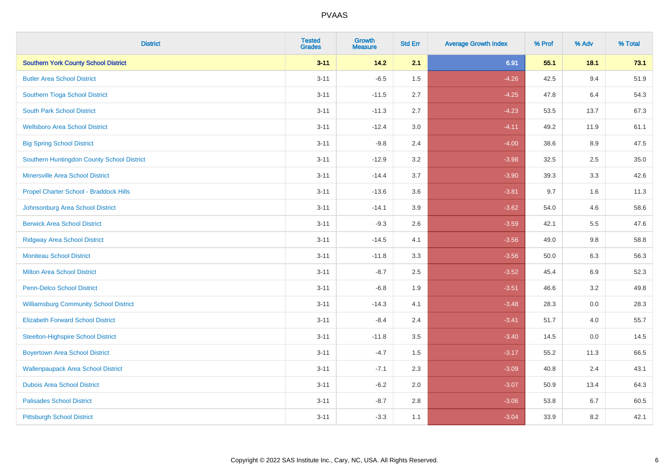| <b>District</b>                               | <b>Tested</b><br><b>Grades</b> | <b>Growth</b><br><b>Measure</b> | <b>Std Err</b> | <b>Average Growth Index</b> | % Prof | % Adv   | % Total |
|-----------------------------------------------|--------------------------------|---------------------------------|----------------|-----------------------------|--------|---------|---------|
| <b>Southern York County School District</b>   | $3 - 11$                       | $14.2$                          | 2.1            | 6.91                        | 55.1   | 18.1    | 73.1    |
| <b>Butler Area School District</b>            | $3 - 11$                       | $-6.5$                          | 1.5            | $-4.26$                     | 42.5   | 9.4     | 51.9    |
| Southern Tioga School District                | $3 - 11$                       | $-11.5$                         | 2.7            | $-4.25$                     | 47.8   | 6.4     | 54.3    |
| <b>South Park School District</b>             | $3 - 11$                       | $-11.3$                         | 2.7            | $-4.23$                     | 53.5   | 13.7    | 67.3    |
| <b>Wellsboro Area School District</b>         | $3 - 11$                       | $-12.4$                         | 3.0            | $-4.11$                     | 49.2   | 11.9    | 61.1    |
| <b>Big Spring School District</b>             | $3 - 11$                       | $-9.8$                          | 2.4            | $-4.00$                     | 38.6   | 8.9     | 47.5    |
| Southern Huntingdon County School District    | $3 - 11$                       | $-12.9$                         | 3.2            | $-3.98$                     | 32.5   | 2.5     | 35.0    |
| <b>Minersville Area School District</b>       | $3 - 11$                       | $-14.4$                         | 3.7            | $-3.90$                     | 39.3   | 3.3     | 42.6    |
| Propel Charter School - Braddock Hills        | $3 - 11$                       | $-13.6$                         | 3.6            | $-3.81$                     | 9.7    | 1.6     | 11.3    |
| Johnsonburg Area School District              | $3 - 11$                       | $-14.1$                         | 3.9            | $-3.62$                     | 54.0   | 4.6     | 58.6    |
| <b>Berwick Area School District</b>           | $3 - 11$                       | $-9.3$                          | 2.6            | $-3.59$                     | 42.1   | 5.5     | 47.6    |
| <b>Ridgway Area School District</b>           | $3 - 11$                       | $-14.5$                         | 4.1            | $-3.56$                     | 49.0   | 9.8     | 58.8    |
| <b>Moniteau School District</b>               | $3 - 11$                       | $-11.8$                         | 3.3            | $-3.56$                     | 50.0   | $6.3\,$ | 56.3    |
| <b>Milton Area School District</b>            | $3 - 11$                       | $-8.7$                          | 2.5            | $-3.52$                     | 45.4   | 6.9     | 52.3    |
| <b>Penn-Delco School District</b>             | $3 - 11$                       | $-6.8$                          | 1.9            | $-3.51$                     | 46.6   | 3.2     | 49.8    |
| <b>Williamsburg Community School District</b> | $3 - 11$                       | $-14.3$                         | 4.1            | $-3.48$                     | 28.3   | $0.0\,$ | 28.3    |
| <b>Elizabeth Forward School District</b>      | $3 - 11$                       | $-8.4$                          | 2.4            | $-3.41$                     | 51.7   | 4.0     | 55.7    |
| <b>Steelton-Highspire School District</b>     | $3 - 11$                       | $-11.8$                         | 3.5            | $-3.40$                     | 14.5   | 0.0     | 14.5    |
| <b>Boyertown Area School District</b>         | $3 - 11$                       | $-4.7$                          | 1.5            | $-3.17$                     | 55.2   | 11.3    | 66.5    |
| <b>Wallenpaupack Area School District</b>     | $3 - 11$                       | $-7.1$                          | 2.3            | $-3.09$                     | 40.8   | 2.4     | 43.1    |
| <b>Dubois Area School District</b>            | $3 - 11$                       | $-6.2$                          | 2.0            | $-3.07$                     | 50.9   | 13.4    | 64.3    |
| <b>Palisades School District</b>              | $3 - 11$                       | $-8.7$                          | 2.8            | $-3.06$                     | 53.8   | 6.7     | 60.5    |
| <b>Pittsburgh School District</b>             | $3 - 11$                       | $-3.3$                          | 1.1            | $-3.04$                     | 33.9   | 8.2     | 42.1    |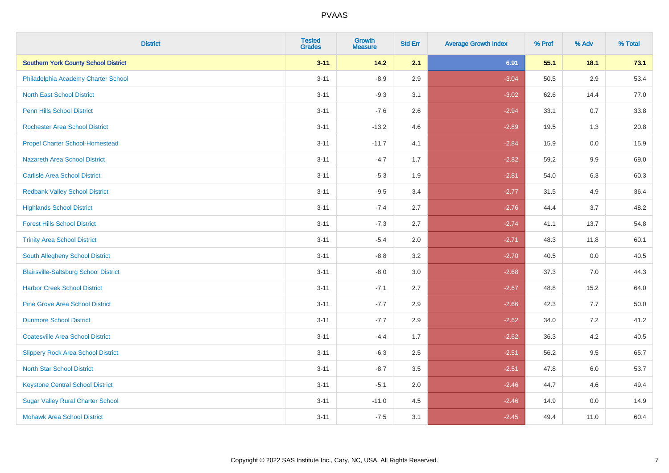| <b>District</b>                              | <b>Tested</b><br><b>Grades</b> | <b>Growth</b><br><b>Measure</b> | <b>Std Err</b> | <b>Average Growth Index</b> | % Prof | % Adv   | % Total |
|----------------------------------------------|--------------------------------|---------------------------------|----------------|-----------------------------|--------|---------|---------|
| <b>Southern York County School District</b>  | $3 - 11$                       | $14.2$                          | 2.1            | 6.91                        | 55.1   | 18.1    | 73.1    |
| Philadelphia Academy Charter School          | $3 - 11$                       | $-8.9$                          | 2.9            | $-3.04$                     | 50.5   | 2.9     | 53.4    |
| <b>North East School District</b>            | $3 - 11$                       | $-9.3$                          | 3.1            | $-3.02$                     | 62.6   | 14.4    | 77.0    |
| <b>Penn Hills School District</b>            | $3 - 11$                       | $-7.6$                          | 2.6            | $-2.94$                     | 33.1   | 0.7     | 33.8    |
| <b>Rochester Area School District</b>        | $3 - 11$                       | $-13.2$                         | 4.6            | $-2.89$                     | 19.5   | 1.3     | 20.8    |
| <b>Propel Charter School-Homestead</b>       | $3 - 11$                       | $-11.7$                         | 4.1            | $-2.84$                     | 15.9   | 0.0     | 15.9    |
| <b>Nazareth Area School District</b>         | $3 - 11$                       | $-4.7$                          | 1.7            | $-2.82$                     | 59.2   | $9.9\,$ | 69.0    |
| <b>Carlisle Area School District</b>         | $3 - 11$                       | $-5.3$                          | 1.9            | $-2.81$                     | 54.0   | 6.3     | 60.3    |
| <b>Redbank Valley School District</b>        | $3 - 11$                       | $-9.5$                          | 3.4            | $-2.77$                     | 31.5   | 4.9     | 36.4    |
| <b>Highlands School District</b>             | $3 - 11$                       | $-7.4$                          | 2.7            | $-2.76$                     | 44.4   | 3.7     | 48.2    |
| <b>Forest Hills School District</b>          | $3 - 11$                       | $-7.3$                          | 2.7            | $-2.74$                     | 41.1   | 13.7    | 54.8    |
| <b>Trinity Area School District</b>          | $3 - 11$                       | $-5.4$                          | 2.0            | $-2.71$                     | 48.3   | 11.8    | 60.1    |
| South Allegheny School District              | $3 - 11$                       | $-8.8$                          | 3.2            | $-2.70$                     | 40.5   | 0.0     | 40.5    |
| <b>Blairsville-Saltsburg School District</b> | $3 - 11$                       | $-8.0$                          | 3.0            | $-2.68$                     | 37.3   | 7.0     | 44.3    |
| <b>Harbor Creek School District</b>          | $3 - 11$                       | $-7.1$                          | 2.7            | $-2.67$                     | 48.8   | 15.2    | 64.0    |
| <b>Pine Grove Area School District</b>       | $3 - 11$                       | $-7.7$                          | 2.9            | $-2.66$                     | 42.3   | 7.7     | 50.0    |
| <b>Dunmore School District</b>               | $3 - 11$                       | $-7.7$                          | 2.9            | $-2.62$                     | 34.0   | 7.2     | 41.2    |
| <b>Coatesville Area School District</b>      | $3 - 11$                       | $-4.4$                          | 1.7            | $-2.62$                     | 36.3   | 4.2     | 40.5    |
| <b>Slippery Rock Area School District</b>    | $3 - 11$                       | $-6.3$                          | 2.5            | $-2.51$                     | 56.2   | 9.5     | 65.7    |
| <b>North Star School District</b>            | $3 - 11$                       | $-8.7$                          | 3.5            | $-2.51$                     | 47.8   | 6.0     | 53.7    |
| <b>Keystone Central School District</b>      | $3 - 11$                       | $-5.1$                          | 2.0            | $-2.46$                     | 44.7   | 4.6     | 49.4    |
| <b>Sugar Valley Rural Charter School</b>     | $3 - 11$                       | $-11.0$                         | 4.5            | $-2.46$                     | 14.9   | 0.0     | 14.9    |
| <b>Mohawk Area School District</b>           | $3 - 11$                       | $-7.5$                          | 3.1            | $-2.45$                     | 49.4   | 11.0    | 60.4    |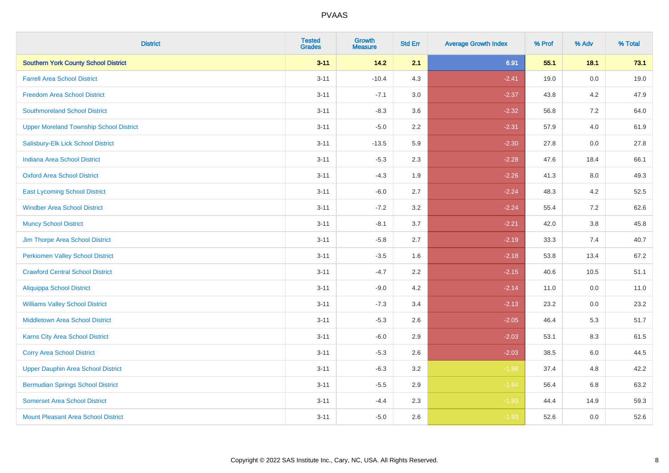| <b>District</b>                                | <b>Tested</b><br><b>Grades</b> | <b>Growth</b><br><b>Measure</b> | <b>Std Err</b> | <b>Average Growth Index</b> | % Prof | % Adv | % Total |
|------------------------------------------------|--------------------------------|---------------------------------|----------------|-----------------------------|--------|-------|---------|
| <b>Southern York County School District</b>    | $3 - 11$                       | $14.2$                          | 2.1            | 6.91                        | 55.1   | 18.1  | 73.1    |
| <b>Farrell Area School District</b>            | $3 - 11$                       | $-10.4$                         | 4.3            | $-2.41$                     | 19.0   | 0.0   | 19.0    |
| <b>Freedom Area School District</b>            | $3 - 11$                       | $-7.1$                          | 3.0            | $-2.37$                     | 43.8   | 4.2   | 47.9    |
| <b>Southmoreland School District</b>           | $3 - 11$                       | $-8.3$                          | 3.6            | $-2.32$                     | 56.8   | 7.2   | 64.0    |
| <b>Upper Moreland Township School District</b> | $3 - 11$                       | $-5.0$                          | 2.2            | $-2.31$                     | 57.9   | 4.0   | 61.9    |
| Salisbury-Elk Lick School District             | $3 - 11$                       | $-13.5$                         | 5.9            | $-2.30$                     | 27.8   | 0.0   | 27.8    |
| <b>Indiana Area School District</b>            | $3 - 11$                       | $-5.3$                          | 2.3            | $-2.28$                     | 47.6   | 18.4  | 66.1    |
| <b>Oxford Area School District</b>             | $3 - 11$                       | $-4.3$                          | 1.9            | $-2.26$                     | 41.3   | 8.0   | 49.3    |
| <b>East Lycoming School District</b>           | $3 - 11$                       | $-6.0$                          | 2.7            | $-2.24$                     | 48.3   | 4.2   | 52.5    |
| <b>Windber Area School District</b>            | $3 - 11$                       | $-7.2$                          | 3.2            | $-2.24$                     | 55.4   | 7.2   | 62.6    |
| <b>Muncy School District</b>                   | $3 - 11$                       | $-8.1$                          | 3.7            | $-2.21$                     | 42.0   | 3.8   | 45.8    |
| Jim Thorpe Area School District                | $3 - 11$                       | $-5.8$                          | 2.7            | $-2.19$                     | 33.3   | 7.4   | 40.7    |
| <b>Perkiomen Valley School District</b>        | $3 - 11$                       | $-3.5$                          | 1.6            | $-2.18$                     | 53.8   | 13.4  | 67.2    |
| <b>Crawford Central School District</b>        | $3 - 11$                       | $-4.7$                          | 2.2            | $-2.15$                     | 40.6   | 10.5  | 51.1    |
| <b>Aliquippa School District</b>               | $3 - 11$                       | $-9.0$                          | 4.2            | $-2.14$                     | 11.0   | 0.0   | 11.0    |
| <b>Williams Valley School District</b>         | $3 - 11$                       | $-7.3$                          | 3.4            | $-2.13$                     | 23.2   | 0.0   | 23.2    |
| <b>Middletown Area School District</b>         | $3 - 11$                       | $-5.3$                          | 2.6            | $-2.05$                     | 46.4   | 5.3   | 51.7    |
| Karns City Area School District                | $3 - 11$                       | $-6.0$                          | 2.9            | $-2.03$                     | 53.1   | 8.3   | 61.5    |
| <b>Corry Area School District</b>              | $3 - 11$                       | $-5.3$                          | 2.6            | $-2.03$                     | 38.5   | 6.0   | 44.5    |
| <b>Upper Dauphin Area School District</b>      | $3 - 11$                       | $-6.3$                          | 3.2            | $-1.98$                     | 37.4   | 4.8   | 42.2    |
| <b>Bermudian Springs School District</b>       | $3 - 11$                       | $-5.5$                          | 2.9            | $-1.94$                     | 56.4   | 6.8   | 63.2    |
| <b>Somerset Area School District</b>           | $3 - 11$                       | $-4.4$                          | 2.3            | $-1.93$                     | 44.4   | 14.9  | 59.3    |
| <b>Mount Pleasant Area School District</b>     | $3 - 11$                       | $-5.0$                          | 2.6            | $-1.93$                     | 52.6   | 0.0   | 52.6    |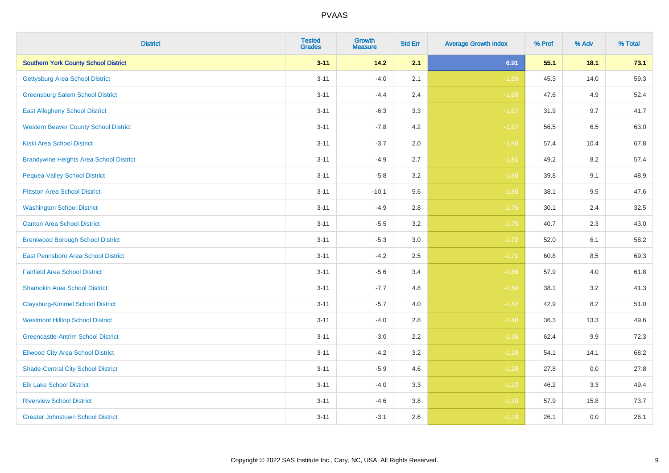| <b>District</b>                                | <b>Tested</b><br><b>Grades</b> | <b>Growth</b><br><b>Measure</b> | <b>Std Err</b> | <b>Average Growth Index</b> | % Prof | % Adv   | % Total |
|------------------------------------------------|--------------------------------|---------------------------------|----------------|-----------------------------|--------|---------|---------|
| <b>Southern York County School District</b>    | $3 - 11$                       | $14.2$                          | 2.1            | 6.91                        | 55.1   | 18.1    | 73.1    |
| <b>Gettysburg Area School District</b>         | $3 - 11$                       | $-4.0$                          | 2.1            | $-1.89$                     | 45.3   | 14.0    | 59.3    |
| <b>Greensburg Salem School District</b>        | $3 - 11$                       | $-4.4$                          | 2.4            | $-1.88$                     | 47.6   | 4.9     | 52.4    |
| <b>East Allegheny School District</b>          | $3 - 11$                       | $-6.3$                          | 3.3            | $-1.87$                     | 31.9   | 9.7     | 41.7    |
| <b>Western Beaver County School District</b>   | $3 - 11$                       | $-7.8$                          | 4.2            | $-1.87$                     | 56.5   | 6.5     | 63.0    |
| <b>Kiski Area School District</b>              | $3 - 11$                       | $-3.7$                          | 2.0            | $-1.86$                     | 57.4   | 10.4    | 67.8    |
| <b>Brandywine Heights Area School District</b> | $3 - 11$                       | $-4.9$                          | 2.7            | $-1.81$                     | 49.2   | 8.2     | 57.4    |
| <b>Pequea Valley School District</b>           | $3 - 11$                       | $-5.8$                          | 3.2            | $-1.80$                     | 39.8   | 9.1     | 48.9    |
| <b>Pittston Area School District</b>           | $3 - 11$                       | $-10.1$                         | 5.6            | $-1.80$                     | 38.1   | 9.5     | 47.6    |
| <b>Washington School District</b>              | $3 - 11$                       | $-4.9$                          | 2.8            | $-1.76$                     | 30.1   | 2.4     | 32.5    |
| <b>Canton Area School District</b>             | $3 - 11$                       | $-5.5$                          | 3.2            | $-1.75$                     | 40.7   | 2.3     | 43.0    |
| <b>Brentwood Borough School District</b>       | $3 - 11$                       | $-5.3$                          | 3.0            | $-1.72$                     | 52.0   | 6.1     | 58.2    |
| East Pennsboro Area School District            | $3 - 11$                       | $-4.2$                          | 2.5            | $-1.71$                     | 60.8   | $8.5\,$ | 69.3    |
| <b>Fairfield Area School District</b>          | $3 - 11$                       | $-5.6$                          | 3.4            | $-1.66$                     | 57.9   | 4.0     | 61.8    |
| <b>Shamokin Area School District</b>           | $3 - 11$                       | $-7.7$                          | 4.8            | $-1.60$                     | 38.1   | 3.2     | 41.3    |
| <b>Claysburg-Kimmel School District</b>        | $3 - 11$                       | $-5.7$                          | $4.0\,$        | $-1.42$                     | 42.9   | 8.2     | 51.0    |
| <b>Westmont Hilltop School District</b>        | $3 - 11$                       | $-4.0$                          | 2.8            | $-1.40$                     | 36.3   | 13.3    | 49.6    |
| <b>Greencastle-Antrim School District</b>      | $3 - 11$                       | $-3.0$                          | 2.2            | $-1.36$                     | 62.4   | 9.9     | 72.3    |
| <b>Ellwood City Area School District</b>       | $3 - 11$                       | $-4.2$                          | 3.2            | $-1.29$                     | 54.1   | 14.1    | 68.2    |
| <b>Shade-Central City School District</b>      | $3 - 11$                       | $-5.9$                          | 4.6            | $-1.28$                     | 27.8   | 0.0     | 27.8    |
| <b>Elk Lake School District</b>                | $3 - 11$                       | $-4.0$                          | 3.3            | $-1.23$                     | 46.2   | 3.3     | 49.4    |
| <b>Riverview School District</b>               | $3 - 11$                       | $-4.6$                          | 3.8            | $-1.20$                     | 57.9   | 15.8    | 73.7    |
| <b>Greater Johnstown School District</b>       | $3 - 11$                       | $-3.1$                          | 2.6            | $-1.19$                     | 26.1   | 0.0     | 26.1    |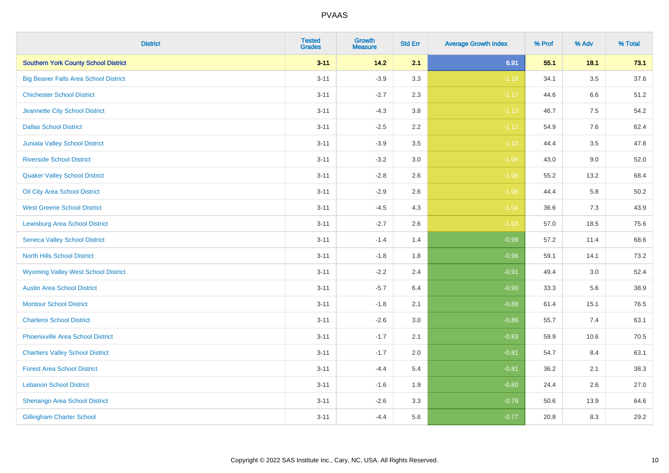| <b>District</b>                              | <b>Tested</b><br><b>Grades</b> | <b>Growth</b><br><b>Measure</b> | <b>Std Err</b> | <b>Average Growth Index</b> | % Prof | % Adv   | % Total  |
|----------------------------------------------|--------------------------------|---------------------------------|----------------|-----------------------------|--------|---------|----------|
| <b>Southern York County School District</b>  | $3 - 11$                       | 14.2                            | 2.1            | 6.91                        | 55.1   | 18.1    | 73.1     |
| <b>Big Beaver Falls Area School District</b> | $3 - 11$                       | $-3.9$                          | 3.3            | $-1.18$                     | 34.1   | $3.5\,$ | 37.6     |
| <b>Chichester School District</b>            | $3 - 11$                       | $-2.7$                          | 2.3            | $-1.17$                     | 44.6   | $6.6\,$ | 51.2     |
| Jeannette City School District               | $3 - 11$                       | $-4.3$                          | 3.8            | $-1.13$                     | 46.7   | 7.5     | 54.2     |
| <b>Dallas School District</b>                | $3 - 11$                       | $-2.5$                          | 2.2            | $-1.12$                     | 54.9   | 7.6     | 62.4     |
| Juniata Valley School District               | $3 - 11$                       | $-3.9$                          | 3.5            | $-1.10$                     | 44.4   | 3.5     | 47.8     |
| <b>Riverside School District</b>             | $3 - 11$                       | $-3.2$                          | 3.0            | $-1.09$                     | 43.0   | 9.0     | 52.0     |
| <b>Quaker Valley School District</b>         | $3 - 11$                       | $-2.8$                          | 2.6            | $-1.08$                     | 55.2   | 13.2    | 68.4     |
| Oil City Area School District                | $3 - 11$                       | $-2.9$                          | 2.6            | $-1.08$                     | 44.4   | 5.8     | $50.2\,$ |
| <b>West Greene School District</b>           | $3 - 11$                       | $-4.5$                          | 4.3            | $-1.04$                     | 36.6   | 7.3     | 43.9     |
| <b>Lewisburg Area School District</b>        | $3 - 11$                       | $-2.7$                          | 2.6            | $-1.03$                     | 57.0   | 18.5    | 75.6     |
| <b>Seneca Valley School District</b>         | $3 - 11$                       | $-1.4$                          | 1.4            | $-0.99$                     | 57.2   | 11.4    | 68.6     |
| <b>North Hills School District</b>           | $3 - 11$                       | $-1.8$                          | 1.8            | $-0.96$                     | 59.1   | 14.1    | 73.2     |
| <b>Wyoming Valley West School District</b>   | $3 - 11$                       | $-2.2$                          | 2.4            | $-0.91$                     | 49.4   | 3.0     | 52.4     |
| <b>Austin Area School District</b>           | $3 - 11$                       | $-5.7$                          | 6.4            | $-0.90$                     | 33.3   | 5.6     | 38.9     |
| <b>Montour School District</b>               | $3 - 11$                       | $-1.8$                          | 2.1            | $-0.88$                     | 61.4   | 15.1    | 76.5     |
| <b>Charleroi School District</b>             | $3 - 11$                       | $-2.6$                          | 3.0            | $-0.86$                     | 55.7   | 7.4     | 63.1     |
| <b>Phoenixville Area School District</b>     | $3 - 11$                       | $-1.7$                          | 2.1            | $-0.83$                     | 59.9   | 10.6    | 70.5     |
| <b>Chartiers Valley School District</b>      | $3 - 11$                       | $-1.7$                          | 2.0            | $-0.81$                     | 54.7   | 8.4     | 63.1     |
| <b>Forest Area School District</b>           | $3 - 11$                       | $-4.4$                          | 5.4            | $-0.81$                     | 36.2   | 2.1     | 38.3     |
| <b>Lebanon School District</b>               | $3 - 11$                       | $-1.6$                          | 1.9            | $-0.80$                     | 24.4   | 2.6     | 27.0     |
| Shenango Area School District                | $3 - 11$                       | $-2.6$                          | 3.3            | $-0.79$                     | 50.6   | 13.9    | 64.6     |
| <b>Gillingham Charter School</b>             | $3 - 11$                       | $-4.4$                          | 5.6            | $-0.77$                     | 20.8   | 8.3     | 29.2     |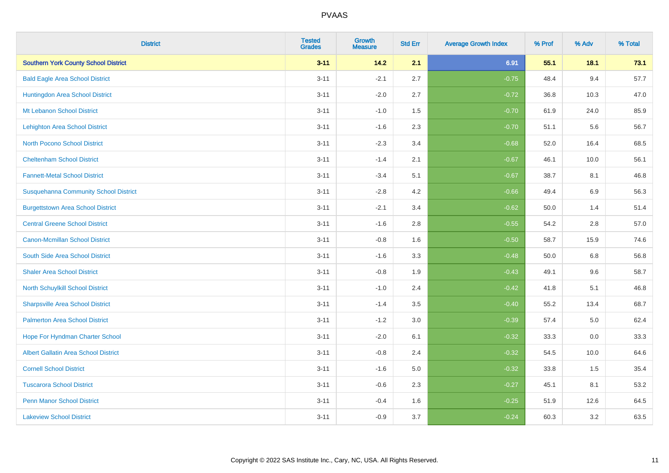| <b>District</b>                              | <b>Tested</b><br><b>Grades</b> | <b>Growth</b><br><b>Measure</b> | <b>Std Err</b> | <b>Average Growth Index</b> | % Prof | % Adv   | % Total |
|----------------------------------------------|--------------------------------|---------------------------------|----------------|-----------------------------|--------|---------|---------|
| <b>Southern York County School District</b>  | $3 - 11$                       | $14.2$                          | 2.1            | 6.91                        | 55.1   | 18.1    | 73.1    |
| <b>Bald Eagle Area School District</b>       | $3 - 11$                       | $-2.1$                          | 2.7            | $-0.75$                     | 48.4   | 9.4     | 57.7    |
| Huntingdon Area School District              | $3 - 11$                       | $-2.0$                          | 2.7            | $-0.72$                     | 36.8   | 10.3    | 47.0    |
| Mt Lebanon School District                   | $3 - 11$                       | $-1.0$                          | 1.5            | $-0.70$                     | 61.9   | 24.0    | 85.9    |
| <b>Lehighton Area School District</b>        | $3 - 11$                       | $-1.6$                          | 2.3            | $-0.70$                     | 51.1   | 5.6     | 56.7    |
| <b>North Pocono School District</b>          | $3 - 11$                       | $-2.3$                          | 3.4            | $-0.68$                     | 52.0   | 16.4    | 68.5    |
| <b>Cheltenham School District</b>            | $3 - 11$                       | $-1.4$                          | 2.1            | $-0.67$                     | 46.1   | 10.0    | 56.1    |
| <b>Fannett-Metal School District</b>         | $3 - 11$                       | $-3.4$                          | 5.1            | $-0.67$                     | 38.7   | 8.1     | 46.8    |
| <b>Susquehanna Community School District</b> | $3 - 11$                       | $-2.8$                          | 4.2            | $-0.66$                     | 49.4   | 6.9     | 56.3    |
| <b>Burgettstown Area School District</b>     | $3 - 11$                       | $-2.1$                          | 3.4            | $-0.62$                     | 50.0   | 1.4     | 51.4    |
| <b>Central Greene School District</b>        | $3 - 11$                       | $-1.6$                          | 2.8            | $-0.55$                     | 54.2   | 2.8     | 57.0    |
| <b>Canon-Mcmillan School District</b>        | $3 - 11$                       | $-0.8$                          | 1.6            | $-0.50$                     | 58.7   | 15.9    | 74.6    |
| South Side Area School District              | $3 - 11$                       | $-1.6$                          | 3.3            | $-0.48$                     | 50.0   | $6.8\,$ | 56.8    |
| <b>Shaler Area School District</b>           | $3 - 11$                       | $-0.8$                          | 1.9            | $-0.43$                     | 49.1   | 9.6     | 58.7    |
| North Schuylkill School District             | $3 - 11$                       | $-1.0$                          | 2.4            | $-0.42$                     | 41.8   | 5.1     | 46.8    |
| <b>Sharpsville Area School District</b>      | $3 - 11$                       | $-1.4$                          | 3.5            | $-0.40$                     | 55.2   | 13.4    | 68.7    |
| <b>Palmerton Area School District</b>        | $3 - 11$                       | $-1.2$                          | 3.0            | $-0.39$                     | 57.4   | 5.0     | 62.4    |
| Hope For Hyndman Charter School              | $3 - 11$                       | $-2.0$                          | 6.1            | $-0.32$                     | 33.3   | 0.0     | 33.3    |
| <b>Albert Gallatin Area School District</b>  | $3 - 11$                       | $-0.8$                          | 2.4            | $-0.32$                     | 54.5   | 10.0    | 64.6    |
| <b>Cornell School District</b>               | $3 - 11$                       | $-1.6$                          | 5.0            | $-0.32$                     | 33.8   | 1.5     | 35.4    |
| <b>Tuscarora School District</b>             | $3 - 11$                       | $-0.6$                          | 2.3            | $-0.27$                     | 45.1   | 8.1     | 53.2    |
| <b>Penn Manor School District</b>            | $3 - 11$                       | $-0.4$                          | 1.6            | $-0.25$                     | 51.9   | 12.6    | 64.5    |
| <b>Lakeview School District</b>              | $3 - 11$                       | $-0.9$                          | 3.7            | $-0.24$                     | 60.3   | 3.2     | 63.5    |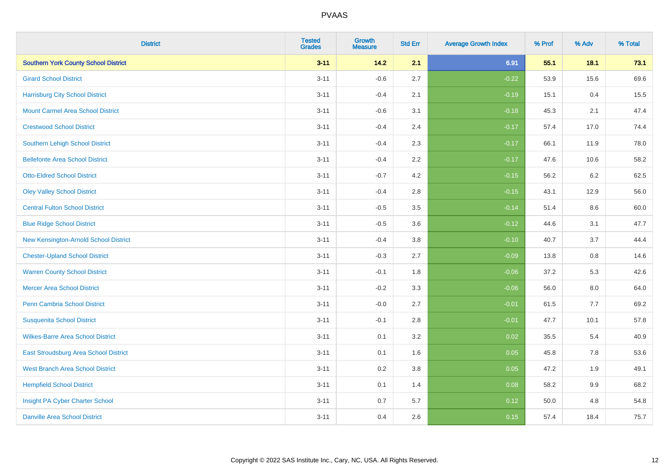| <b>District</b>                             | <b>Tested</b><br><b>Grades</b> | <b>Growth</b><br><b>Measure</b> | <b>Std Err</b> | <b>Average Growth Index</b> | % Prof | % Adv   | % Total |
|---------------------------------------------|--------------------------------|---------------------------------|----------------|-----------------------------|--------|---------|---------|
| <b>Southern York County School District</b> | $3 - 11$                       | $14.2$                          | 2.1            | 6.91                        | 55.1   | 18.1    | 73.1    |
| <b>Girard School District</b>               | $3 - 11$                       | $-0.6$                          | 2.7            | $-0.22$                     | 53.9   | 15.6    | 69.6    |
| <b>Harrisburg City School District</b>      | $3 - 11$                       | $-0.4$                          | 2.1            | $-0.19$                     | 15.1   | 0.4     | 15.5    |
| <b>Mount Carmel Area School District</b>    | $3 - 11$                       | $-0.6$                          | 3.1            | $-0.18$                     | 45.3   | 2.1     | 47.4    |
| <b>Crestwood School District</b>            | $3 - 11$                       | $-0.4$                          | 2.4            | $-0.17$                     | 57.4   | 17.0    | 74.4    |
| <b>Southern Lehigh School District</b>      | $3 - 11$                       | $-0.4$                          | 2.3            | $-0.17$                     | 66.1   | 11.9    | 78.0    |
| <b>Bellefonte Area School District</b>      | $3 - 11$                       | $-0.4$                          | 2.2            | $-0.17$                     | 47.6   | 10.6    | 58.2    |
| <b>Otto-Eldred School District</b>          | $3 - 11$                       | $-0.7$                          | 4.2            | $-0.15$                     | 56.2   | $6.2\,$ | 62.5    |
| <b>Oley Valley School District</b>          | $3 - 11$                       | $-0.4$                          | 2.8            | $-0.15$                     | 43.1   | 12.9    | 56.0    |
| <b>Central Fulton School District</b>       | $3 - 11$                       | $-0.5$                          | 3.5            | $-0.14$                     | 51.4   | 8.6     | 60.0    |
| <b>Blue Ridge School District</b>           | $3 - 11$                       | $-0.5$                          | 3.6            | $-0.12$                     | 44.6   | 3.1     | 47.7    |
| New Kensington-Arnold School District       | $3 - 11$                       | $-0.4$                          | 3.8            | $-0.10$                     | 40.7   | 3.7     | 44.4    |
| <b>Chester-Upland School District</b>       | $3 - 11$                       | $-0.3$                          | 2.7            | $-0.09$                     | 13.8   | $0.8\,$ | 14.6    |
| <b>Warren County School District</b>        | $3 - 11$                       | $-0.1$                          | 1.8            | $-0.06$                     | 37.2   | 5.3     | 42.6    |
| <b>Mercer Area School District</b>          | $3 - 11$                       | $-0.2$                          | 3.3            | $-0.06$                     | 56.0   | $8.0\,$ | 64.0    |
| Penn Cambria School District                | $3 - 11$                       | $-0.0$                          | 2.7            | $-0.01$                     | 61.5   | $7.7$   | 69.2    |
| <b>Susquenita School District</b>           | $3 - 11$                       | $-0.1$                          | 2.8            | $-0.01$                     | 47.7   | 10.1    | 57.8    |
| <b>Wilkes-Barre Area School District</b>    | $3 - 11$                       | 0.1                             | 3.2            | 0.02                        | 35.5   | 5.4     | 40.9    |
| East Stroudsburg Area School District       | $3 - 11$                       | 0.1                             | 1.6            | 0.05                        | 45.8   | 7.8     | 53.6    |
| <b>West Branch Area School District</b>     | $3 - 11$                       | 0.2                             | 3.8            | 0.05                        | 47.2   | 1.9     | 49.1    |
| <b>Hempfield School District</b>            | $3 - 11$                       | 0.1                             | 1.4            | 0.08                        | 58.2   | 9.9     | 68.2    |
| Insight PA Cyber Charter School             | $3 - 11$                       | 0.7                             | 5.7            | 0.12                        | 50.0   | 4.8     | 54.8    |
| <b>Danville Area School District</b>        | $3 - 11$                       | 0.4                             | 2.6            | 0.15                        | 57.4   | 18.4    | 75.7    |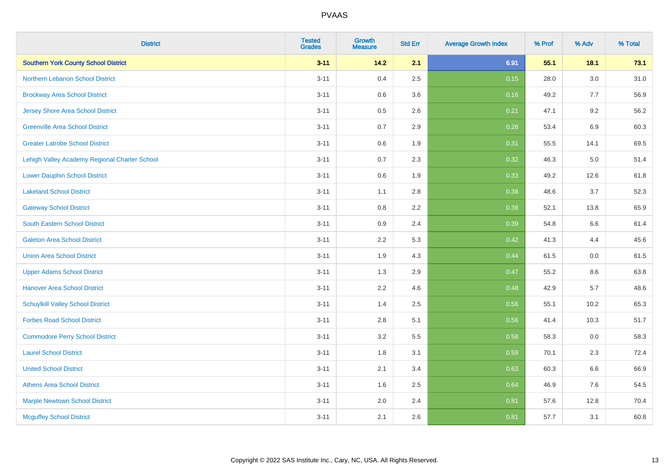| <b>District</b>                               | <b>Tested</b><br><b>Grades</b> | Growth<br>Measure | <b>Std Err</b> | <b>Average Growth Index</b> | % Prof | % Adv   | % Total |
|-----------------------------------------------|--------------------------------|-------------------|----------------|-----------------------------|--------|---------|---------|
| <b>Southern York County School District</b>   | $3 - 11$                       | $14.2$            | 2.1            | 6.91                        | 55.1   | 18.1    | 73.1    |
| Northern Lebanon School District              | $3 - 11$                       | 0.4               | 2.5            | 0.15                        | 28.0   | 3.0     | 31.0    |
| <b>Brockway Area School District</b>          | $3 - 11$                       | 0.6               | 3.6            | 0.16                        | 49.2   | 7.7     | 56.9    |
| <b>Jersey Shore Area School District</b>      | $3 - 11$                       | 0.5               | 2.6            | 0.21                        | 47.1   | 9.2     | 56.2    |
| <b>Greenville Area School District</b>        | $3 - 11$                       | 0.7               | 2.9            | 0.26                        | 53.4   | 6.9     | 60.3    |
| <b>Greater Latrobe School District</b>        | $3 - 11$                       | 0.6               | 1.9            | 0.31                        | 55.5   | 14.1    | 69.5    |
| Lehigh Valley Academy Regional Charter School | $3 - 11$                       | 0.7               | 2.3            | 0.32                        | 46.3   | $5.0\,$ | 51.4    |
| <b>Lower Dauphin School District</b>          | $3 - 11$                       | 0.6               | 1.9            | 0.33                        | 49.2   | 12.6    | 61.8    |
| <b>Lakeland School District</b>               | $3 - 11$                       | 1.1               | 2.8            | 0.38                        | 48.6   | 3.7     | 52.3    |
| <b>Gateway School District</b>                | $3 - 11$                       | $0.8\,$           | 2.2            | 0.38                        | 52.1   | 13.8    | 65.9    |
| <b>South Eastern School District</b>          | $3 - 11$                       | 0.9               | 2.4            | 0.39                        | 54.8   | 6.6     | 61.4    |
| <b>Galeton Area School District</b>           | $3 - 11$                       | 2.2               | 5.3            | 0.42                        | 41.3   | 4.4     | 45.6    |
| <b>Union Area School District</b>             | $3 - 11$                       | 1.9               | 4.3            | 0.44                        | 61.5   | $0.0\,$ | 61.5    |
| <b>Upper Adams School District</b>            | $3 - 11$                       | 1.3               | 2.9            | 0.47                        | 55.2   | 8.6     | 63.8    |
| <b>Hanover Area School District</b>           | $3 - 11$                       | 2.2               | 4.6            | 0.48                        | 42.9   | 5.7     | 48.6    |
| <b>Schuylkill Valley School District</b>      | $3 - 11$                       | 1.4               | 2.5            | 0.56                        | 55.1   | 10.2    | 65.3    |
| <b>Forbes Road School District</b>            | $3 - 11$                       | 2.8               | 5.1            | 0.56                        | 41.4   | 10.3    | 51.7    |
| <b>Commodore Perry School District</b>        | $3 - 11$                       | 3.2               | 5.5            | 0.58                        | 58.3   | 0.0     | 58.3    |
| <b>Laurel School District</b>                 | $3 - 11$                       | 1.8               | 3.1            | 0.59                        | 70.1   | 2.3     | 72.4    |
| <b>United School District</b>                 | $3 - 11$                       | 2.1               | 3.4            | 0.63                        | 60.3   | 6.6     | 66.9    |
| <b>Athens Area School District</b>            | $3 - 11$                       | 1.6               | 2.5            | 0.64                        | 46.9   | 7.6     | 54.5    |
| <b>Marple Newtown School District</b>         | $3 - 11$                       | 2.0               | 2.4            | 0.81                        | 57.6   | 12.8    | 70.4    |
| <b>Mcguffey School District</b>               | $3 - 11$                       | 2.1               | 2.6            | 0.81                        | 57.7   | 3.1     | 60.8    |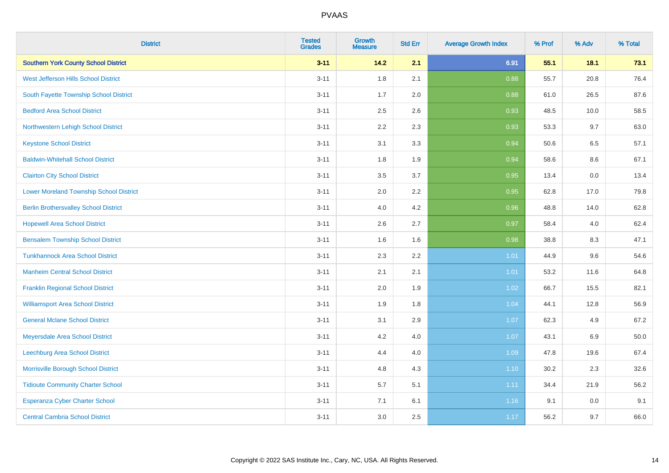| <b>District</b>                                | <b>Tested</b><br><b>Grades</b> | <b>Growth</b><br><b>Measure</b> | <b>Std Err</b> | <b>Average Growth Index</b> | % Prof | % Adv   | % Total  |
|------------------------------------------------|--------------------------------|---------------------------------|----------------|-----------------------------|--------|---------|----------|
| <b>Southern York County School District</b>    | $3 - 11$                       | $14.2$                          | 2.1            | 6.91                        | 55.1   | 18.1    | 73.1     |
| West Jefferson Hills School District           | $3 - 11$                       | 1.8                             | 2.1            | 0.88                        | 55.7   | 20.8    | 76.4     |
| South Fayette Township School District         | $3 - 11$                       | 1.7                             | 2.0            | 0.88                        | 61.0   | 26.5    | 87.6     |
| <b>Bedford Area School District</b>            | $3 - 11$                       | 2.5                             | 2.6            | 0.93                        | 48.5   | 10.0    | 58.5     |
| Northwestern Lehigh School District            | $3 - 11$                       | 2.2                             | 2.3            | 0.93                        | 53.3   | 9.7     | 63.0     |
| <b>Keystone School District</b>                | $3 - 11$                       | 3.1                             | 3.3            | 0.94                        | 50.6   | 6.5     | 57.1     |
| <b>Baldwin-Whitehall School District</b>       | $3 - 11$                       | 1.8                             | 1.9            | 0.94                        | 58.6   | $8.6\,$ | 67.1     |
| <b>Clairton City School District</b>           | $3 - 11$                       | 3.5                             | 3.7            | 0.95                        | 13.4   | 0.0     | 13.4     |
| <b>Lower Moreland Township School District</b> | $3 - 11$                       | 2.0                             | 2.2            | 0.95                        | 62.8   | 17.0    | 79.8     |
| <b>Berlin Brothersvalley School District</b>   | $3 - 11$                       | 4.0                             | 4.2            | 0.96                        | 48.8   | 14.0    | 62.8     |
| <b>Hopewell Area School District</b>           | $3 - 11$                       | 2.6                             | 2.7            | 0.97                        | 58.4   | 4.0     | 62.4     |
| <b>Bensalem Township School District</b>       | $3 - 11$                       | 1.6                             | 1.6            | 0.98                        | 38.8   | 8.3     | 47.1     |
| <b>Tunkhannock Area School District</b>        | $3 - 11$                       | 2.3                             | 2.2            | 1.01                        | 44.9   | 9.6     | 54.6     |
| <b>Manheim Central School District</b>         | $3 - 11$                       | 2.1                             | 2.1            | 1.01                        | 53.2   | 11.6    | 64.8     |
| <b>Franklin Regional School District</b>       | $3 - 11$                       | 2.0                             | 1.9            | 1.02                        | 66.7   | 15.5    | 82.1     |
| <b>Williamsport Area School District</b>       | $3 - 11$                       | 1.9                             | 1.8            | 1.04                        | 44.1   | 12.8    | 56.9     |
| <b>General Mclane School District</b>          | $3 - 11$                       | 3.1                             | 2.9            | 1.07                        | 62.3   | 4.9     | 67.2     |
| Meyersdale Area School District                | $3 - 11$                       | 4.2                             | 4.0            | 1.07                        | 43.1   | 6.9     | $50.0\,$ |
| Leechburg Area School District                 | $3 - 11$                       | 4.4                             | 4.0            | 1.09                        | 47.8   | 19.6    | 67.4     |
| Morrisville Borough School District            | $3 - 11$                       | 4.8                             | 4.3            | 1.10                        | 30.2   | 2.3     | 32.6     |
| <b>Tidioute Community Charter School</b>       | $3 - 11$                       | 5.7                             | 5.1            | 1.11                        | 34.4   | 21.9    | 56.2     |
| Esperanza Cyber Charter School                 | $3 - 11$                       | 7.1                             | 6.1            | 1.16                        | 9.1    | 0.0     | 9.1      |
| <b>Central Cambria School District</b>         | $3 - 11$                       | 3.0                             | 2.5            | 1.17                        | 56.2   | 9.7     | 66.0     |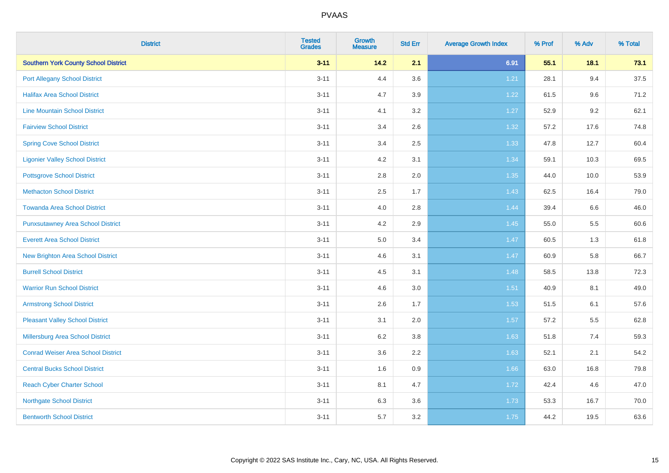| <b>District</b>                             | <b>Tested</b><br><b>Grades</b> | <b>Growth</b><br><b>Measure</b> | <b>Std Err</b> | <b>Average Growth Index</b> | % Prof | % Adv | % Total |
|---------------------------------------------|--------------------------------|---------------------------------|----------------|-----------------------------|--------|-------|---------|
| <b>Southern York County School District</b> | $3 - 11$                       | $14.2$                          | 2.1            | 6.91                        | 55.1   | 18.1  | 73.1    |
| <b>Port Allegany School District</b>        | $3 - 11$                       | 4.4                             | 3.6            | 1.21                        | 28.1   | 9.4   | 37.5    |
| <b>Halifax Area School District</b>         | $3 - 11$                       | 4.7                             | 3.9            | 1.22                        | 61.5   | 9.6   | 71.2    |
| <b>Line Mountain School District</b>        | $3 - 11$                       | 4.1                             | 3.2            | 1.27                        | 52.9   | 9.2   | 62.1    |
| <b>Fairview School District</b>             | $3 - 11$                       | 3.4                             | 2.6            | 1.32                        | 57.2   | 17.6  | 74.8    |
| <b>Spring Cove School District</b>          | $3 - 11$                       | 3.4                             | 2.5            | 1.33                        | 47.8   | 12.7  | 60.4    |
| <b>Ligonier Valley School District</b>      | $3 - 11$                       | 4.2                             | 3.1            | 1.34                        | 59.1   | 10.3  | 69.5    |
| <b>Pottsgrove School District</b>           | $3 - 11$                       | 2.8                             | 2.0            | 1.35                        | 44.0   | 10.0  | 53.9    |
| <b>Methacton School District</b>            | $3 - 11$                       | 2.5                             | 1.7            | 1.43                        | 62.5   | 16.4  | 79.0    |
| <b>Towanda Area School District</b>         | $3 - 11$                       | 4.0                             | 2.8            | 1.44                        | 39.4   | 6.6   | 46.0    |
| <b>Punxsutawney Area School District</b>    | $3 - 11$                       | 4.2                             | 2.9            | 1.45                        | 55.0   | 5.5   | 60.6    |
| <b>Everett Area School District</b>         | $3 - 11$                       | 5.0                             | 3.4            | 1.47                        | 60.5   | 1.3   | 61.8    |
| <b>New Brighton Area School District</b>    | $3 - 11$                       | 4.6                             | 3.1            | 1.47                        | 60.9   | 5.8   | 66.7    |
| <b>Burrell School District</b>              | $3 - 11$                       | 4.5                             | 3.1            | 1.48                        | 58.5   | 13.8  | 72.3    |
| <b>Warrior Run School District</b>          | $3 - 11$                       | 4.6                             | 3.0            | 1.51                        | 40.9   | 8.1   | 49.0    |
| <b>Armstrong School District</b>            | $3 - 11$                       | 2.6                             | 1.7            | 1.53                        | 51.5   | 6.1   | 57.6    |
| <b>Pleasant Valley School District</b>      | $3 - 11$                       | 3.1                             | 2.0            | 1.57                        | 57.2   | 5.5   | 62.8    |
| Millersburg Area School District            | $3 - 11$                       | 6.2                             | 3.8            | 1.63                        | 51.8   | 7.4   | 59.3    |
| <b>Conrad Weiser Area School District</b>   | $3 - 11$                       | 3.6                             | 2.2            | 1.63                        | 52.1   | 2.1   | 54.2    |
| <b>Central Bucks School District</b>        | $3 - 11$                       | 1.6                             | 0.9            | 1.66                        | 63.0   | 16.8  | 79.8    |
| <b>Reach Cyber Charter School</b>           | $3 - 11$                       | 8.1                             | 4.7            | 1.72                        | 42.4   | 4.6   | 47.0    |
| <b>Northgate School District</b>            | $3 - 11$                       | 6.3                             | 3.6            | 1.73                        | 53.3   | 16.7  | 70.0    |
| <b>Bentworth School District</b>            | $3 - 11$                       | 5.7                             | 3.2            | 1.75                        | 44.2   | 19.5  | 63.6    |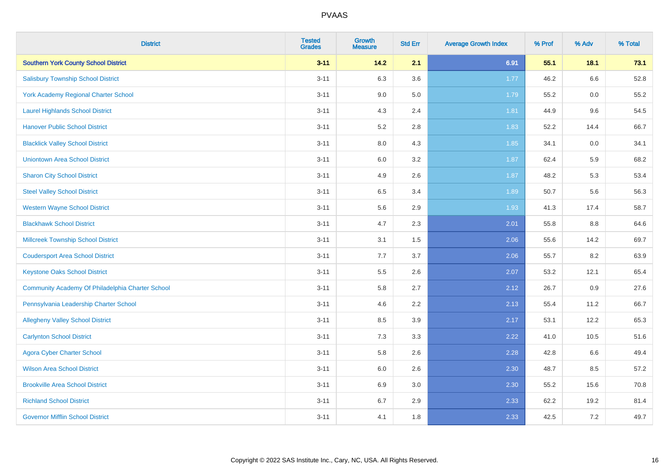| <b>District</b>                                  | <b>Tested</b><br><b>Grades</b> | <b>Growth</b><br><b>Measure</b> | <b>Std Err</b> | <b>Average Growth Index</b> | % Prof | % Adv   | % Total |
|--------------------------------------------------|--------------------------------|---------------------------------|----------------|-----------------------------|--------|---------|---------|
| <b>Southern York County School District</b>      | $3 - 11$                       | $14.2$                          | 2.1            | 6.91                        | 55.1   | 18.1    | 73.1    |
| <b>Salisbury Township School District</b>        | $3 - 11$                       | 6.3                             | 3.6            | $1.77$                      | 46.2   | 6.6     | 52.8    |
| <b>York Academy Regional Charter School</b>      | $3 - 11$                       | 9.0                             | 5.0            | 1.79                        | 55.2   | 0.0     | 55.2    |
| <b>Laurel Highlands School District</b>          | $3 - 11$                       | 4.3                             | 2.4            | 1.81                        | 44.9   | 9.6     | 54.5    |
| <b>Hanover Public School District</b>            | $3 - 11$                       | 5.2                             | 2.8            | 1.83                        | 52.2   | 14.4    | 66.7    |
| <b>Blacklick Valley School District</b>          | $3 - 11$                       | 8.0                             | 4.3            | 1.85                        | 34.1   | $0.0\,$ | 34.1    |
| <b>Uniontown Area School District</b>            | $3 - 11$                       | $6.0\,$                         | 3.2            | 1.87                        | 62.4   | 5.9     | 68.2    |
| <b>Sharon City School District</b>               | $3 - 11$                       | 4.9                             | 2.6            | 1.87                        | 48.2   | 5.3     | 53.4    |
| <b>Steel Valley School District</b>              | $3 - 11$                       | 6.5                             | 3.4            | 1.89                        | 50.7   | 5.6     | 56.3    |
| <b>Western Wayne School District</b>             | $3 - 11$                       | 5.6                             | 2.9            | 1.93                        | 41.3   | 17.4    | 58.7    |
| <b>Blackhawk School District</b>                 | $3 - 11$                       | 4.7                             | 2.3            | 2.01                        | 55.8   | 8.8     | 64.6    |
| <b>Millcreek Township School District</b>        | $3 - 11$                       | 3.1                             | 1.5            | 2.06                        | 55.6   | 14.2    | 69.7    |
| <b>Coudersport Area School District</b>          | $3 - 11$                       | 7.7                             | 3.7            | 2.06                        | 55.7   | 8.2     | 63.9    |
| <b>Keystone Oaks School District</b>             | $3 - 11$                       | $5.5\,$                         | 2.6            | 2.07                        | 53.2   | 12.1    | 65.4    |
| Community Academy Of Philadelphia Charter School | $3 - 11$                       | 5.8                             | 2.7            | 2.12                        | 26.7   | 0.9     | 27.6    |
| Pennsylvania Leadership Charter School           | $3 - 11$                       | 4.6                             | 2.2            | 2.13                        | 55.4   | 11.2    | 66.7    |
| <b>Allegheny Valley School District</b>          | $3 - 11$                       | 8.5                             | 3.9            | 2.17                        | 53.1   | 12.2    | 65.3    |
| <b>Carlynton School District</b>                 | $3 - 11$                       | 7.3                             | 3.3            | 2.22                        | 41.0   | 10.5    | 51.6    |
| <b>Agora Cyber Charter School</b>                | $3 - 11$                       | 5.8                             | 2.6            | 2.28                        | 42.8   | 6.6     | 49.4    |
| <b>Wilson Area School District</b>               | $3 - 11$                       | 6.0                             | 2.6            | 2.30                        | 48.7   | 8.5     | 57.2    |
| <b>Brookville Area School District</b>           | $3 - 11$                       | 6.9                             | 3.0            | 2.30                        | 55.2   | 15.6    | 70.8    |
| <b>Richland School District</b>                  | $3 - 11$                       | 6.7                             | 2.9            | 2.33                        | 62.2   | 19.2    | 81.4    |
| <b>Governor Mifflin School District</b>          | $3 - 11$                       | 4.1                             | 1.8            | 2.33                        | 42.5   | 7.2     | 49.7    |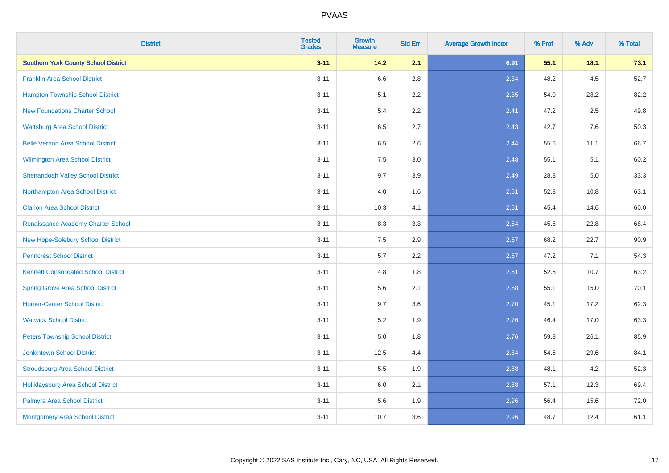| <b>District</b>                             | <b>Tested</b><br><b>Grades</b> | <b>Growth</b><br><b>Measure</b> | <b>Std Err</b> | <b>Average Growth Index</b> | % Prof | % Adv   | % Total |
|---------------------------------------------|--------------------------------|---------------------------------|----------------|-----------------------------|--------|---------|---------|
| <b>Southern York County School District</b> | $3 - 11$                       | $14.2$                          | 2.1            | 6.91                        | 55.1   | 18.1    | 73.1    |
| <b>Franklin Area School District</b>        | $3 - 11$                       | 6.6                             | 2.8            | 2.34                        | 48.2   | $4.5\,$ | 52.7    |
| <b>Hampton Township School District</b>     | $3 - 11$                       | 5.1                             | 2.2            | 2.35                        | 54.0   | 28.2    | 82.2    |
| <b>New Foundations Charter School</b>       | $3 - 11$                       | 5.4                             | 2.2            | 2.41                        | 47.2   | 2.5     | 49.8    |
| <b>Wattsburg Area School District</b>       | $3 - 11$                       | 6.5                             | 2.7            | 2.43                        | 42.7   | 7.6     | 50.3    |
| <b>Belle Vernon Area School District</b>    | $3 - 11$                       | 6.5                             | 2.6            | 2.44                        | 55.6   | 11.1    | 66.7    |
| Wilmington Area School District             | $3 - 11$                       | 7.5                             | 3.0            | 2.48                        | 55.1   | 5.1     | 60.2    |
| <b>Shenandoah Valley School District</b>    | $3 - 11$                       | 9.7                             | 3.9            | 2.49                        | 28.3   | 5.0     | 33.3    |
| Northampton Area School District            | $3 - 11$                       | 4.0                             | 1.6            | 2.51                        | 52.3   | 10.8    | 63.1    |
| <b>Clarion Area School District</b>         | $3 - 11$                       | 10.3                            | 4.1            | 2.51                        | 45.4   | 14.6    | 60.0    |
| Renaissance Academy Charter School          | $3 - 11$                       | 8.3                             | 3.3            | 2.54                        | 45.6   | 22.8    | 68.4    |
| New Hope-Solebury School District           | $3 - 11$                       | 7.5                             | 2.9            | 2.57                        | 68.2   | 22.7    | 90.9    |
| <b>Penncrest School District</b>            | $3 - 11$                       | 5.7                             | 2.2            | 2.57                        | 47.2   | 7.1     | 54.3    |
| <b>Kennett Consolidated School District</b> | $3 - 11$                       | 4.8                             | 1.8            | 2.61                        | 52.5   | 10.7    | 63.2    |
| <b>Spring Grove Area School District</b>    | $3 - 11$                       | 5.6                             | 2.1            | 2.68                        | 55.1   | 15.0    | 70.1    |
| <b>Homer-Center School District</b>         | $3 - 11$                       | 9.7                             | 3.6            | 2.70                        | 45.1   | 17.2    | 62.3    |
| <b>Warwick School District</b>              | $3 - 11$                       | 5.2                             | 1.9            | 2.76                        | 46.4   | 17.0    | 63.3    |
| <b>Peters Township School District</b>      | $3 - 11$                       | 5.0                             | 1.8            | 2.76                        | 59.8   | 26.1    | 85.9    |
| <b>Jenkintown School District</b>           | $3 - 11$                       | 12.5                            | 4.4            | 2.84                        | 54.6   | 29.6    | 84.1    |
| <b>Stroudsburg Area School District</b>     | $3 - 11$                       | 5.5                             | 1.9            | 2.88                        | 48.1   | 4.2     | 52.3    |
| <b>Hollidaysburg Area School District</b>   | $3 - 11$                       | 6.0                             | 2.1            | 2.88                        | 57.1   | 12.3    | 69.4    |
| Palmyra Area School District                | $3 - 11$                       | 5.6                             | 1.9            | 2.96                        | 56.4   | 15.6    | 72.0    |
| Montgomery Area School District             | $3 - 11$                       | 10.7                            | 3.6            | 2.96                        | 48.7   | 12.4    | 61.1    |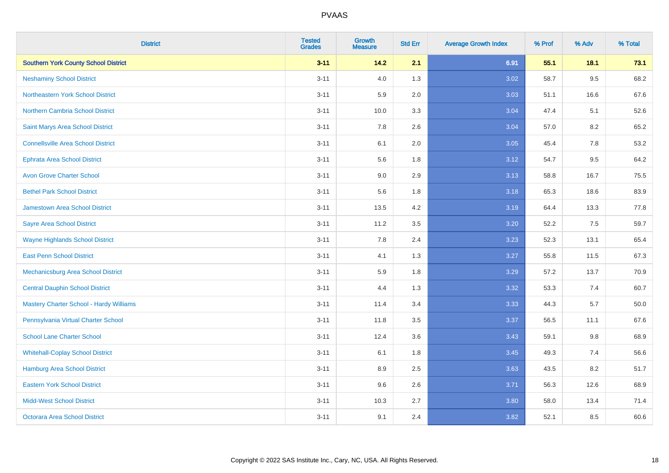| <b>District</b>                                | <b>Tested</b><br><b>Grades</b> | <b>Growth</b><br><b>Measure</b> | <b>Std Err</b> | <b>Average Growth Index</b> | % Prof | % Adv   | % Total |
|------------------------------------------------|--------------------------------|---------------------------------|----------------|-----------------------------|--------|---------|---------|
| <b>Southern York County School District</b>    | $3 - 11$                       | $14.2$                          | 2.1            | 6.91                        | 55.1   | 18.1    | 73.1    |
| <b>Neshaminy School District</b>               | $3 - 11$                       | 4.0                             | 1.3            | 3.02                        | 58.7   | $9.5\,$ | 68.2    |
| Northeastern York School District              | $3 - 11$                       | 5.9                             | 2.0            | 3.03                        | 51.1   | 16.6    | 67.6    |
| <b>Northern Cambria School District</b>        | $3 - 11$                       | 10.0                            | 3.3            | 3.04                        | 47.4   | 5.1     | 52.6    |
| Saint Marys Area School District               | $3 - 11$                       | 7.8                             | 2.6            | 3.04                        | 57.0   | 8.2     | 65.2    |
| <b>Connellsville Area School District</b>      | $3 - 11$                       | 6.1                             | 2.0            | 3.05                        | 45.4   | 7.8     | 53.2    |
| <b>Ephrata Area School District</b>            | $3 - 11$                       | 5.6                             | 1.8            | 3.12                        | 54.7   | 9.5     | 64.2    |
| <b>Avon Grove Charter School</b>               | $3 - 11$                       | 9.0                             | 2.9            | 3.13                        | 58.8   | 16.7    | 75.5    |
| <b>Bethel Park School District</b>             | $3 - 11$                       | 5.6                             | 1.8            | 3.18                        | 65.3   | 18.6    | 83.9    |
| <b>Jamestown Area School District</b>          | $3 - 11$                       | 13.5                            | 4.2            | 3.19                        | 64.4   | 13.3    | 77.8    |
| <b>Sayre Area School District</b>              | $3 - 11$                       | 11.2                            | 3.5            | 3.20                        | 52.2   | 7.5     | 59.7    |
| <b>Wayne Highlands School District</b>         | $3 - 11$                       | 7.8                             | 2.4            | 3.23                        | 52.3   | 13.1    | 65.4    |
| <b>East Penn School District</b>               | $3 - 11$                       | 4.1                             | 1.3            | 3.27                        | 55.8   | 11.5    | 67.3    |
| <b>Mechanicsburg Area School District</b>      | $3 - 11$                       | 5.9                             | 1.8            | 3.29                        | 57.2   | 13.7    | 70.9    |
| <b>Central Dauphin School District</b>         | $3 - 11$                       | 4.4                             | 1.3            | 3.32                        | 53.3   | 7.4     | 60.7    |
| <b>Mastery Charter School - Hardy Williams</b> | $3 - 11$                       | 11.4                            | 3.4            | 3.33                        | 44.3   | 5.7     | 50.0    |
| Pennsylvania Virtual Charter School            | $3 - 11$                       | 11.8                            | 3.5            | 3.37                        | 56.5   | 11.1    | 67.6    |
| <b>School Lane Charter School</b>              | $3 - 11$                       | 12.4                            | 3.6            | 3.43                        | 59.1   | 9.8     | 68.9    |
| <b>Whitehall-Coplay School District</b>        | $3 - 11$                       | 6.1                             | 1.8            | 3.45                        | 49.3   | 7.4     | 56.6    |
| Hamburg Area School District                   | $3 - 11$                       | 8.9                             | 2.5            | 3.63                        | 43.5   | 8.2     | 51.7    |
| <b>Eastern York School District</b>            | $3 - 11$                       | 9.6                             | 2.6            | 3.71                        | 56.3   | 12.6    | 68.9    |
| <b>Midd-West School District</b>               | $3 - 11$                       | 10.3                            | 2.7            | 3.80                        | 58.0   | 13.4    | 71.4    |
| <b>Octorara Area School District</b>           | $3 - 11$                       | 9.1                             | 2.4            | 3.82                        | 52.1   | 8.5     | 60.6    |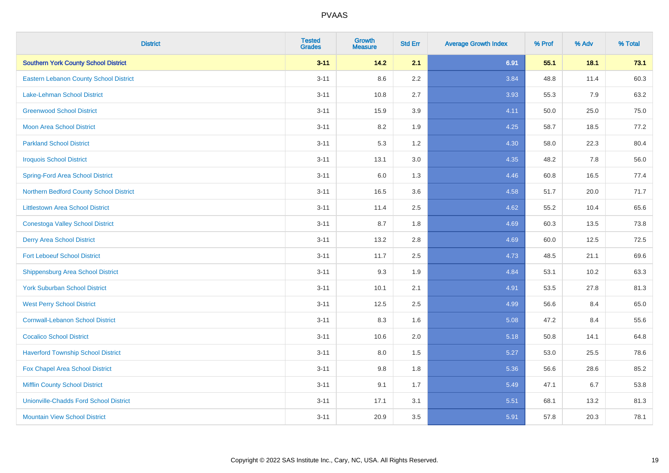| <b>District</b>                               | <b>Tested</b><br><b>Grades</b> | <b>Growth</b><br><b>Measure</b> | <b>Std Err</b> | <b>Average Growth Index</b> | % Prof | % Adv | % Total |
|-----------------------------------------------|--------------------------------|---------------------------------|----------------|-----------------------------|--------|-------|---------|
| <b>Southern York County School District</b>   | $3 - 11$                       | $14.2$                          | 2.1            | 6.91                        | 55.1   | 18.1  | 73.1    |
| <b>Eastern Lebanon County School District</b> | $3 - 11$                       | 8.6                             | 2.2            | 3.84                        | 48.8   | 11.4  | 60.3    |
| <b>Lake-Lehman School District</b>            | $3 - 11$                       | 10.8                            | 2.7            | 3.93                        | 55.3   | 7.9   | 63.2    |
| <b>Greenwood School District</b>              | $3 - 11$                       | 15.9                            | 3.9            | 4.11                        | 50.0   | 25.0  | 75.0    |
| <b>Moon Area School District</b>              | $3 - 11$                       | 8.2                             | 1.9            | 4.25                        | 58.7   | 18.5  | 77.2    |
| <b>Parkland School District</b>               | $3 - 11$                       | 5.3                             | 1.2            | 4.30                        | 58.0   | 22.3  | 80.4    |
| <b>Iroquois School District</b>               | $3 - 11$                       | 13.1                            | 3.0            | 4.35                        | 48.2   | 7.8   | 56.0    |
| <b>Spring-Ford Area School District</b>       | $3 - 11$                       | 6.0                             | 1.3            | 4.46                        | 60.8   | 16.5  | 77.4    |
| Northern Bedford County School District       | $3 - 11$                       | 16.5                            | 3.6            | 4.58                        | 51.7   | 20.0  | 71.7    |
| <b>Littlestown Area School District</b>       | $3 - 11$                       | 11.4                            | 2.5            | 4.62                        | 55.2   | 10.4  | 65.6    |
| <b>Conestoga Valley School District</b>       | $3 - 11$                       | 8.7                             | 1.8            | 4.69                        | 60.3   | 13.5  | 73.8    |
| <b>Derry Area School District</b>             | $3 - 11$                       | 13.2                            | 2.8            | 4.69                        | 60.0   | 12.5  | 72.5    |
| <b>Fort Leboeuf School District</b>           | $3 - 11$                       | 11.7                            | 2.5            | 4.73                        | 48.5   | 21.1  | 69.6    |
| <b>Shippensburg Area School District</b>      | $3 - 11$                       | 9.3                             | 1.9            | 4.84                        | 53.1   | 10.2  | 63.3    |
| <b>York Suburban School District</b>          | $3 - 11$                       | 10.1                            | 2.1            | 4.91                        | 53.5   | 27.8  | 81.3    |
| <b>West Perry School District</b>             | $3 - 11$                       | 12.5                            | 2.5            | 4.99                        | 56.6   | 8.4   | 65.0    |
| <b>Cornwall-Lebanon School District</b>       | $3 - 11$                       | 8.3                             | 1.6            | 5.08                        | 47.2   | 8.4   | 55.6    |
| <b>Cocalico School District</b>               | $3 - 11$                       | 10.6                            | 2.0            | 5.18                        | 50.8   | 14.1  | 64.8    |
| <b>Haverford Township School District</b>     | $3 - 11$                       | 8.0                             | 1.5            | 5.27                        | 53.0   | 25.5  | 78.6    |
| <b>Fox Chapel Area School District</b>        | $3 - 11$                       | 9.8                             | 1.8            | 5.36                        | 56.6   | 28.6  | 85.2    |
| <b>Mifflin County School District</b>         | $3 - 11$                       | 9.1                             | 1.7            | 5.49                        | 47.1   | 6.7   | 53.8    |
| <b>Unionville-Chadds Ford School District</b> | $3 - 11$                       | 17.1                            | 3.1            | 5.51                        | 68.1   | 13.2  | 81.3    |
| <b>Mountain View School District</b>          | $3 - 11$                       | 20.9                            | 3.5            | 5.91                        | 57.8   | 20.3  | 78.1    |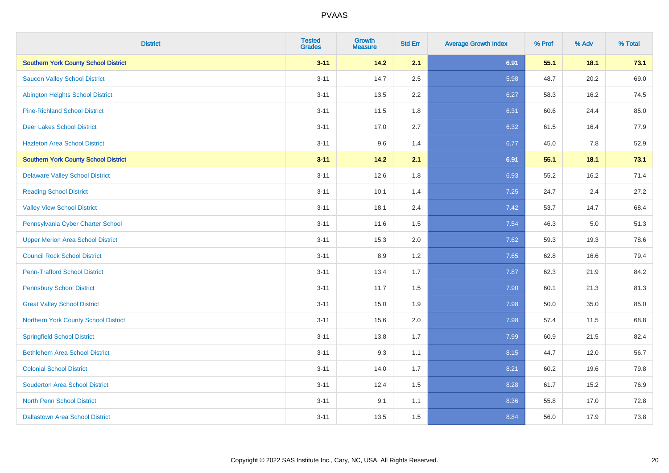| <b>District</b>                             | <b>Tested</b><br><b>Grades</b> | <b>Growth</b><br><b>Measure</b> | <b>Std Err</b> | <b>Average Growth Index</b> | % Prof | % Adv | % Total |
|---------------------------------------------|--------------------------------|---------------------------------|----------------|-----------------------------|--------|-------|---------|
| <b>Southern York County School District</b> | $3 - 11$                       | $14.2$                          | 2.1            | 6.91                        | 55.1   | 18.1  | 73.1    |
| <b>Saucon Valley School District</b>        | $3 - 11$                       | 14.7                            | 2.5            | 5.98                        | 48.7   | 20.2  | 69.0    |
| <b>Abington Heights School District</b>     | $3 - 11$                       | 13.5                            | 2.2            | 6.27                        | 58.3   | 16.2  | 74.5    |
| <b>Pine-Richland School District</b>        | $3 - 11$                       | 11.5                            | 1.8            | 6.31                        | 60.6   | 24.4  | 85.0    |
| <b>Deer Lakes School District</b>           | $3 - 11$                       | 17.0                            | 2.7            | 6.32                        | 61.5   | 16.4  | 77.9    |
| <b>Hazleton Area School District</b>        | $3 - 11$                       | 9.6                             | 1.4            | 6.77                        | 45.0   | 7.8   | 52.9    |
| <b>Southern York County School District</b> | $3 - 11$                       | 14.2                            | 2.1            | 6.91                        | 55.1   | 18.1  | 73.1    |
| <b>Delaware Valley School District</b>      | $3 - 11$                       | 12.6                            | 1.8            | 6.93                        | 55.2   | 16.2  | 71.4    |
| <b>Reading School District</b>              | $3 - 11$                       | 10.1                            | 1.4            | 7.25                        | 24.7   | 2.4   | 27.2    |
| <b>Valley View School District</b>          | $3 - 11$                       | 18.1                            | 2.4            | 7.42                        | 53.7   | 14.7  | 68.4    |
| Pennsylvania Cyber Charter School           | $3 - 11$                       | 11.6                            | 1.5            | 7.54                        | 46.3   | 5.0   | 51.3    |
| <b>Upper Merion Area School District</b>    | $3 - 11$                       | 15.3                            | 2.0            | 7.62                        | 59.3   | 19.3  | 78.6    |
| <b>Council Rock School District</b>         | $3 - 11$                       | 8.9                             | 1.2            | 7.65                        | 62.8   | 16.6  | 79.4    |
| <b>Penn-Trafford School District</b>        | $3 - 11$                       | 13.4                            | 1.7            | 7.87                        | 62.3   | 21.9  | 84.2    |
| <b>Pennsbury School District</b>            | $3 - 11$                       | 11.7                            | 1.5            | 7.90                        | 60.1   | 21.3  | 81.3    |
| <b>Great Valley School District</b>         | $3 - 11$                       | 15.0                            | 1.9            | 7.98                        | 50.0   | 35.0  | 85.0    |
| Northern York County School District        | $3 - 11$                       | 15.6                            | 2.0            | 7.98                        | 57.4   | 11.5  | 68.8    |
| <b>Springfield School District</b>          | $3 - 11$                       | 13.8                            | 1.7            | 7.99                        | 60.9   | 21.5  | 82.4    |
| <b>Bethlehem Area School District</b>       | $3 - 11$                       | 9.3                             | 1.1            | 8.15                        | 44.7   | 12.0  | 56.7    |
| <b>Colonial School District</b>             | $3 - 11$                       | 14.0                            | 1.7            | 8.21                        | 60.2   | 19.6  | 79.8    |
| <b>Souderton Area School District</b>       | $3 - 11$                       | 12.4                            | 1.5            | 8.28                        | 61.7   | 15.2  | 76.9    |
| <b>North Penn School District</b>           | $3 - 11$                       | 9.1                             | 1.1            | 8.36                        | 55.8   | 17.0  | 72.8    |
| <b>Dallastown Area School District</b>      | $3 - 11$                       | 13.5                            | 1.5            | 8.84                        | 56.0   | 17.9  | 73.8    |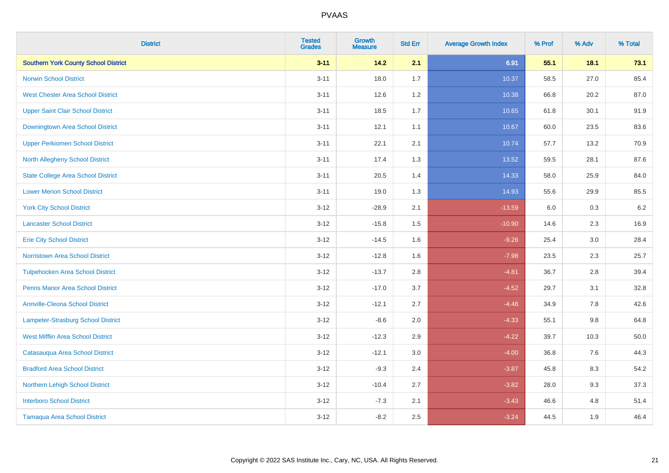| <b>District</b>                             | <b>Tested</b><br><b>Grades</b> | <b>Growth</b><br><b>Measure</b> | <b>Std Err</b> | <b>Average Growth Index</b> | % Prof | % Adv   | % Total |
|---------------------------------------------|--------------------------------|---------------------------------|----------------|-----------------------------|--------|---------|---------|
| <b>Southern York County School District</b> | $3 - 11$                       | $14.2$                          | 2.1            | 6.91                        | 55.1   | 18.1    | 73.1    |
| <b>Norwin School District</b>               | $3 - 11$                       | 18.0                            | 1.7            | 10.37                       | 58.5   | 27.0    | 85.4    |
| <b>West Chester Area School District</b>    | $3 - 11$                       | 12.6                            | 1.2            | 10.38                       | 66.8   | 20.2    | 87.0    |
| <b>Upper Saint Clair School District</b>    | $3 - 11$                       | 18.5                            | 1.7            | 10.65                       | 61.8   | 30.1    | 91.9    |
| <b>Downingtown Area School District</b>     | $3 - 11$                       | 12.1                            | 1.1            | 10.67                       | 60.0   | 23.5    | 83.6    |
| <b>Upper Perkiomen School District</b>      | $3 - 11$                       | 22.1                            | 2.1            | 10.74                       | 57.7   | 13.2    | 70.9    |
| North Allegheny School District             | $3 - 11$                       | 17.4                            | 1.3            | 13.52                       | 59.5   | 28.1    | 87.6    |
| <b>State College Area School District</b>   | $3 - 11$                       | 20.5                            | 1.4            | 14.33                       | 58.0   | 25.9    | 84.0    |
| <b>Lower Merion School District</b>         | $3 - 11$                       | 19.0                            | 1.3            | 14.93                       | 55.6   | 29.9    | 85.5    |
| <b>York City School District</b>            | $3 - 12$                       | $-28.9$                         | 2.1            | $-13.59$                    | 6.0    | 0.3     | 6.2     |
| <b>Lancaster School District</b>            | $3 - 12$                       | $-15.8$                         | 1.5            | $-10.90$                    | 14.6   | 2.3     | 16.9    |
| <b>Erie City School District</b>            | $3 - 12$                       | $-14.5$                         | 1.6            | $-9.26$                     | 25.4   | 3.0     | 28.4    |
| Norristown Area School District             | $3 - 12$                       | $-12.8$                         | 1.6            | $-7.98$                     | 23.5   | $2.3\,$ | 25.7    |
| <b>Tulpehocken Area School District</b>     | $3 - 12$                       | $-13.7$                         | 2.8            | $-4.81$                     | 36.7   | 2.8     | 39.4    |
| <b>Penns Manor Area School District</b>     | $3 - 12$                       | $-17.0$                         | 3.7            | $-4.52$                     | 29.7   | 3.1     | 32.8    |
| <b>Annville-Cleona School District</b>      | $3 - 12$                       | $-12.1$                         | 2.7            | $-4.46$                     | 34.9   | $7.8\,$ | 42.6    |
| Lampeter-Strasburg School District          | $3 - 12$                       | $-8.6$                          | 2.0            | $-4.33$                     | 55.1   | 9.8     | 64.8    |
| <b>West Mifflin Area School District</b>    | $3 - 12$                       | $-12.3$                         | 2.9            | $-4.22$                     | 39.7   | 10.3    | 50.0    |
| Catasauqua Area School District             | $3 - 12$                       | $-12.1$                         | 3.0            | $-4.00$                     | 36.8   | 7.6     | 44.3    |
| <b>Bradford Area School District</b>        | $3 - 12$                       | $-9.3$                          | 2.4            | $-3.87$                     | 45.8   | 8.3     | 54.2    |
| Northern Lehigh School District             | $3 - 12$                       | $-10.4$                         | 2.7            | $-3.82$                     | 28.0   | 9.3     | 37.3    |
| <b>Interboro School District</b>            | $3 - 12$                       | $-7.3$                          | 2.1            | $-3.43$                     | 46.6   | 4.8     | 51.4    |
| <b>Tamaqua Area School District</b>         | $3 - 12$                       | $-8.2$                          | 2.5            | $-3.24$                     | 44.5   | 1.9     | 46.4    |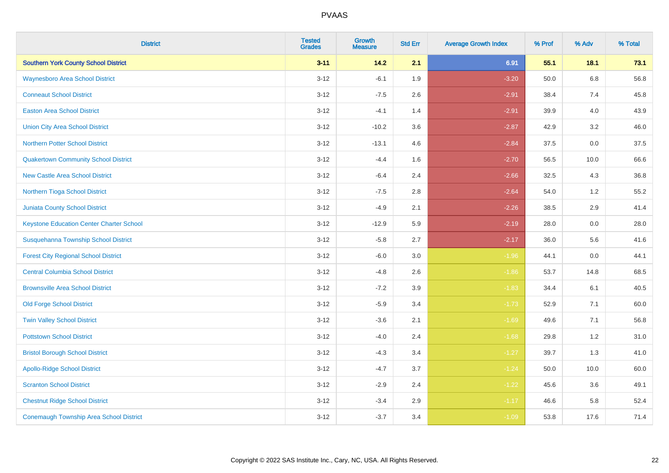| <b>District</b>                                 | <b>Tested</b><br><b>Grades</b> | <b>Growth</b><br><b>Measure</b> | <b>Std Err</b> | <b>Average Growth Index</b> | % Prof | % Adv   | % Total |
|-------------------------------------------------|--------------------------------|---------------------------------|----------------|-----------------------------|--------|---------|---------|
| <b>Southern York County School District</b>     | $3 - 11$                       | $14.2$                          | 2.1            | 6.91                        | 55.1   | 18.1    | 73.1    |
| <b>Waynesboro Area School District</b>          | $3 - 12$                       | $-6.1$                          | 1.9            | $-3.20$                     | 50.0   | $6.8\,$ | 56.8    |
| <b>Conneaut School District</b>                 | $3 - 12$                       | $-7.5$                          | 2.6            | $-2.91$                     | 38.4   | 7.4     | 45.8    |
| <b>Easton Area School District</b>              | $3 - 12$                       | $-4.1$                          | 1.4            | $-2.91$                     | 39.9   | 4.0     | 43.9    |
| <b>Union City Area School District</b>          | $3-12$                         | $-10.2$                         | 3.6            | $-2.87$                     | 42.9   | 3.2     | 46.0    |
| <b>Northern Potter School District</b>          | $3 - 12$                       | $-13.1$                         | 4.6            | $-2.84$                     | 37.5   | 0.0     | 37.5    |
| <b>Quakertown Community School District</b>     | $3 - 12$                       | $-4.4$                          | 1.6            | $-2.70$                     | 56.5   | 10.0    | 66.6    |
| <b>New Castle Area School District</b>          | $3 - 12$                       | $-6.4$                          | 2.4            | $-2.66$                     | 32.5   | 4.3     | 36.8    |
| Northern Tioga School District                  | $3 - 12$                       | $-7.5$                          | 2.8            | $-2.64$                     | 54.0   | 1.2     | 55.2    |
| <b>Juniata County School District</b>           | $3 - 12$                       | $-4.9$                          | 2.1            | $-2.26$                     | 38.5   | 2.9     | 41.4    |
| <b>Keystone Education Center Charter School</b> | $3 - 12$                       | $-12.9$                         | 5.9            | $-2.19$                     | 28.0   | 0.0     | 28.0    |
| Susquehanna Township School District            | $3 - 12$                       | $-5.8$                          | 2.7            | $-2.17$                     | 36.0   | 5.6     | 41.6    |
| <b>Forest City Regional School District</b>     | $3 - 12$                       | $-6.0$                          | $3.0\,$        | $-1.96$                     | 44.1   | $0.0\,$ | 44.1    |
| <b>Central Columbia School District</b>         | $3 - 12$                       | $-4.8$                          | 2.6            | $-1.86$                     | 53.7   | 14.8    | 68.5    |
| <b>Brownsville Area School District</b>         | $3 - 12$                       | $-7.2$                          | 3.9            | $-1.83$                     | 34.4   | 6.1     | 40.5    |
| <b>Old Forge School District</b>                | $3 - 12$                       | $-5.9$                          | 3.4            | $-1.73$                     | 52.9   | 7.1     | 60.0    |
| <b>Twin Valley School District</b>              | $3 - 12$                       | $-3.6$                          | 2.1            | $-1.69$                     | 49.6   | 7.1     | 56.8    |
| <b>Pottstown School District</b>                | $3 - 12$                       | $-4.0$                          | 2.4            | $-1.68$                     | 29.8   | 1.2     | 31.0    |
| <b>Bristol Borough School District</b>          | $3 - 12$                       | $-4.3$                          | 3.4            | $-1.27$                     | 39.7   | 1.3     | 41.0    |
| <b>Apollo-Ridge School District</b>             | $3 - 12$                       | $-4.7$                          | 3.7            | $-1.24$                     | 50.0   | 10.0    | 60.0    |
| <b>Scranton School District</b>                 | $3-12$                         | $-2.9$                          | 2.4            | $-1.22$                     | 45.6   | 3.6     | 49.1    |
| <b>Chestnut Ridge School District</b>           | $3 - 12$                       | $-3.4$                          | 2.9            | $-1.17$                     | 46.6   | 5.8     | 52.4    |
| <b>Conemaugh Township Area School District</b>  | $3 - 12$                       | $-3.7$                          | 3.4            | $-1.09$                     | 53.8   | 17.6    | 71.4    |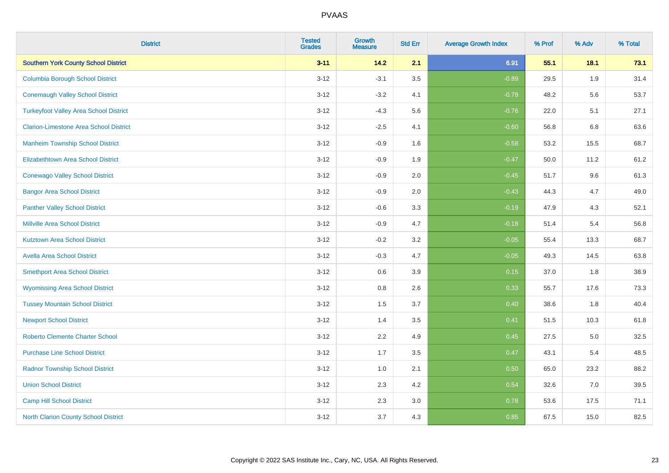| <b>District</b>                               | <b>Tested</b><br><b>Grades</b> | <b>Growth</b><br><b>Measure</b> | <b>Std Err</b> | <b>Average Growth Index</b> | % Prof | % Adv | % Total |
|-----------------------------------------------|--------------------------------|---------------------------------|----------------|-----------------------------|--------|-------|---------|
| <b>Southern York County School District</b>   | $3 - 11$                       | $14.2$                          | 2.1            | 6.91                        | 55.1   | 18.1  | 73.1    |
| <b>Columbia Borough School District</b>       | $3 - 12$                       | $-3.1$                          | 3.5            | $-0.89$                     | 29.5   | 1.9   | 31.4    |
| <b>Conemaugh Valley School District</b>       | $3 - 12$                       | $-3.2$                          | 4.1            | $-0.78$                     | 48.2   | 5.6   | 53.7    |
| <b>Turkeyfoot Valley Area School District</b> | $3 - 12$                       | $-4.3$                          | 5.6            | $-0.76$                     | 22.0   | 5.1   | 27.1    |
| <b>Clarion-Limestone Area School District</b> | $3 - 12$                       | $-2.5$                          | 4.1            | $-0.60$                     | 56.8   | 6.8   | 63.6    |
| <b>Manheim Township School District</b>       | $3 - 12$                       | $-0.9$                          | 1.6            | $-0.58$                     | 53.2   | 15.5  | 68.7    |
| Elizabethtown Area School District            | $3 - 12$                       | $-0.9$                          | 1.9            | $-0.47$                     | 50.0   | 11.2  | 61.2    |
| <b>Conewago Valley School District</b>        | $3 - 12$                       | $-0.9$                          | 2.0            | $-0.45$                     | 51.7   | 9.6   | 61.3    |
| <b>Bangor Area School District</b>            | $3 - 12$                       | $-0.9$                          | 2.0            | $-0.43$                     | 44.3   | 4.7   | 49.0    |
| <b>Panther Valley School District</b>         | $3 - 12$                       | $-0.6$                          | 3.3            | $-0.19$                     | 47.9   | 4.3   | 52.1    |
| <b>Millville Area School District</b>         | $3 - 12$                       | $-0.9$                          | 4.7            | $-0.18$                     | 51.4   | 5.4   | 56.8    |
| <b>Kutztown Area School District</b>          | $3 - 12$                       | $-0.2$                          | 3.2            | $-0.05$                     | 55.4   | 13.3  | 68.7    |
| <b>Avella Area School District</b>            | $3 - 12$                       | $-0.3$                          | 4.7            | $-0.05$                     | 49.3   | 14.5  | 63.8    |
| <b>Smethport Area School District</b>         | $3 - 12$                       | 0.6                             | 3.9            | 0.15                        | 37.0   | 1.8   | 38.9    |
| <b>Wyomissing Area School District</b>        | $3 - 12$                       | 0.8                             | 2.6            | 0.33                        | 55.7   | 17.6  | 73.3    |
| <b>Tussey Mountain School District</b>        | $3 - 12$                       | 1.5                             | 3.7            | 0.40                        | 38.6   | 1.8   | 40.4    |
| <b>Newport School District</b>                | $3 - 12$                       | 1.4                             | 3.5            | 0.41                        | 51.5   | 10.3  | 61.8    |
| <b>Roberto Clemente Charter School</b>        | $3 - 12$                       | 2.2                             | 4.9            | 0.45                        | 27.5   | 5.0   | 32.5    |
| <b>Purchase Line School District</b>          | $3 - 12$                       | 1.7                             | 3.5            | 0.47                        | 43.1   | 5.4   | 48.5    |
| <b>Radnor Township School District</b>        | $3 - 12$                       | 1.0                             | 2.1            | 0.50                        | 65.0   | 23.2  | 88.2    |
| <b>Union School District</b>                  | $3 - 12$                       | 2.3                             | 4.2            | 0.54                        | 32.6   | 7.0   | 39.5    |
| <b>Camp Hill School District</b>              | $3 - 12$                       | 2.3                             | 3.0            | 0.78                        | 53.6   | 17.5  | 71.1    |
| North Clarion County School District          | $3 - 12$                       | 3.7                             | 4.3            | 0.85                        | 67.5   | 15.0  | 82.5    |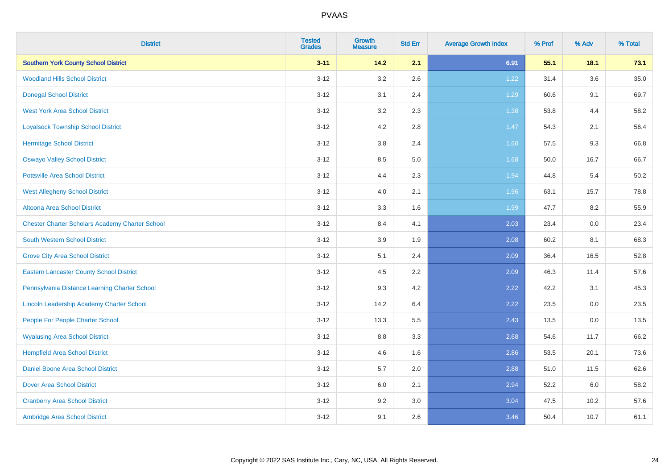| <b>District</b>                                        | <b>Tested</b><br><b>Grades</b> | <b>Growth</b><br><b>Measure</b> | <b>Std Err</b> | <b>Average Growth Index</b> | % Prof | % Adv   | % Total |
|--------------------------------------------------------|--------------------------------|---------------------------------|----------------|-----------------------------|--------|---------|---------|
| <b>Southern York County School District</b>            | $3 - 11$                       | $14.2$                          | 2.1            | 6.91                        | 55.1   | 18.1    | 73.1    |
| <b>Woodland Hills School District</b>                  | $3 - 12$                       | 3.2                             | 2.6            | 1.22                        | 31.4   | $3.6\,$ | 35.0    |
| <b>Donegal School District</b>                         | $3 - 12$                       | 3.1                             | 2.4            | 1.29                        | 60.6   | 9.1     | 69.7    |
| <b>West York Area School District</b>                  | $3 - 12$                       | 3.2                             | 2.3            | 1.38                        | 53.8   | 4.4     | 58.2    |
| <b>Loyalsock Township School District</b>              | $3 - 12$                       | 4.2                             | 2.8            | 1.47                        | 54.3   | 2.1     | 56.4    |
| <b>Hermitage School District</b>                       | $3 - 12$                       | 3.8                             | 2.4            | 1.60                        | 57.5   | 9.3     | 66.8    |
| <b>Oswayo Valley School District</b>                   | $3 - 12$                       | 8.5                             | 5.0            | 1.68                        | 50.0   | 16.7    | 66.7    |
| <b>Pottsville Area School District</b>                 | $3 - 12$                       | 4.4                             | 2.3            | 1.94                        | 44.8   | 5.4     | 50.2    |
| <b>West Allegheny School District</b>                  | $3 - 12$                       | 4.0                             | 2.1            | 1.96                        | 63.1   | 15.7    | 78.8    |
| <b>Altoona Area School District</b>                    | $3 - 12$                       | 3.3                             | 1.6            | 1.99                        | 47.7   | 8.2     | 55.9    |
| <b>Chester Charter Scholars Academy Charter School</b> | $3 - 12$                       | 8.4                             | 4.1            | 2.03                        | 23.4   | 0.0     | 23.4    |
| South Western School District                          | $3 - 12$                       | 3.9                             | 1.9            | 2.08                        | 60.2   | 8.1     | 68.3    |
| <b>Grove City Area School District</b>                 | $3 - 12$                       | 5.1                             | 2.4            | 2.09                        | 36.4   | 16.5    | 52.8    |
| <b>Eastern Lancaster County School District</b>        | $3 - 12$                       | 4.5                             | 2.2            | 2.09                        | 46.3   | 11.4    | 57.6    |
| Pennsylvania Distance Learning Charter School          | $3 - 12$                       | 9.3                             | 4.2            | 2.22                        | 42.2   | 3.1     | 45.3    |
| Lincoln Leadership Academy Charter School              | $3 - 12$                       | 14.2                            | 6.4            | 2.22                        | 23.5   | $0.0\,$ | 23.5    |
| People For People Charter School                       | $3 - 12$                       | 13.3                            | 5.5            | 2.43                        | 13.5   | 0.0     | 13.5    |
| <b>Wyalusing Area School District</b>                  | $3 - 12$                       | 8.8                             | 3.3            | 2.68                        | 54.6   | 11.7    | 66.2    |
| <b>Hempfield Area School District</b>                  | $3 - 12$                       | 4.6                             | 1.6            | 2.86                        | 53.5   | 20.1    | 73.6    |
| Daniel Boone Area School District                      | $3 - 12$                       | 5.7                             | 2.0            | 2.88                        | 51.0   | 11.5    | 62.6    |
| <b>Dover Area School District</b>                      | $3 - 12$                       | 6.0                             | 2.1            | 2.94                        | 52.2   | 6.0     | 58.2    |
| <b>Cranberry Area School District</b>                  | $3 - 12$                       | 9.2                             | 3.0            | 3.04                        | 47.5   | 10.2    | 57.6    |
| Ambridge Area School District                          | $3 - 12$                       | 9.1                             | 2.6            | 3.46                        | 50.4   | 10.7    | 61.1    |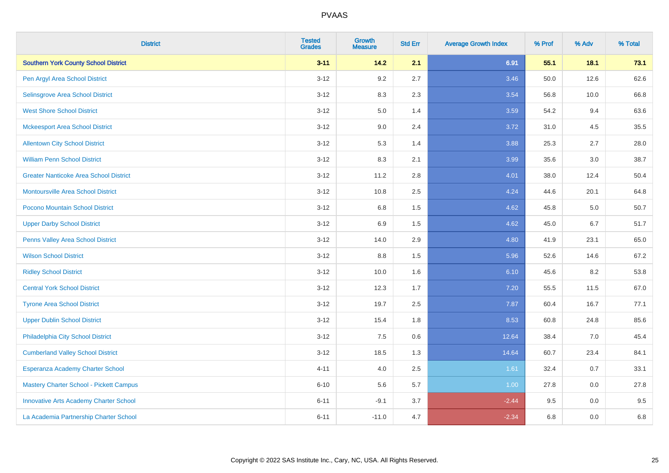| <b>District</b>                               | <b>Tested</b><br><b>Grades</b> | <b>Growth</b><br><b>Measure</b> | <b>Std Err</b> | <b>Average Growth Index</b> | % Prof | % Adv | % Total |
|-----------------------------------------------|--------------------------------|---------------------------------|----------------|-----------------------------|--------|-------|---------|
| <b>Southern York County School District</b>   | $3 - 11$                       | $14.2$                          | 2.1            | 6.91                        | 55.1   | 18.1  | 73.1    |
| Pen Argyl Area School District                | $3 - 12$                       | 9.2                             | 2.7            | 3.46                        | 50.0   | 12.6  | 62.6    |
| Selinsgrove Area School District              | $3 - 12$                       | 8.3                             | 2.3            | 3.54                        | 56.8   | 10.0  | 66.8    |
| <b>West Shore School District</b>             | $3 - 12$                       | 5.0                             | 1.4            | 3.59                        | 54.2   | 9.4   | 63.6    |
| <b>Mckeesport Area School District</b>        | $3 - 12$                       | 9.0                             | 2.4            | 3.72                        | 31.0   | 4.5   | 35.5    |
| <b>Allentown City School District</b>         | $3 - 12$                       | 5.3                             | 1.4            | 3.88                        | 25.3   | 2.7   | 28.0    |
| <b>William Penn School District</b>           | $3 - 12$                       | 8.3                             | 2.1            | 3.99                        | 35.6   | 3.0   | 38.7    |
| <b>Greater Nanticoke Area School District</b> | $3 - 12$                       | 11.2                            | 2.8            | 4.01                        | 38.0   | 12.4  | 50.4    |
| Montoursville Area School District            | $3 - 12$                       | 10.8                            | 2.5            | 4.24                        | 44.6   | 20.1  | 64.8    |
| Pocono Mountain School District               | $3 - 12$                       | 6.8                             | 1.5            | 4.62                        | 45.8   | 5.0   | 50.7    |
| <b>Upper Darby School District</b>            | $3 - 12$                       | 6.9                             | 1.5            | 4.62                        | 45.0   | 6.7   | 51.7    |
| Penns Valley Area School District             | $3 - 12$                       | 14.0                            | 2.9            | 4.80                        | 41.9   | 23.1  | 65.0    |
| <b>Wilson School District</b>                 | $3 - 12$                       | $8.8\,$                         | 1.5            | 5.96                        | 52.6   | 14.6  | 67.2    |
| <b>Ridley School District</b>                 | $3 - 12$                       | 10.0                            | 1.6            | 6.10                        | 45.6   | 8.2   | 53.8    |
| <b>Central York School District</b>           | $3 - 12$                       | 12.3                            | 1.7            | 7.20                        | 55.5   | 11.5  | 67.0    |
| <b>Tyrone Area School District</b>            | $3 - 12$                       | 19.7                            | 2.5            | 7.87                        | 60.4   | 16.7  | 77.1    |
| <b>Upper Dublin School District</b>           | $3 - 12$                       | 15.4                            | 1.8            | 8.53                        | 60.8   | 24.8  | 85.6    |
| Philadelphia City School District             | $3 - 12$                       | 7.5                             | 0.6            | 12.64                       | 38.4   | 7.0   | 45.4    |
| <b>Cumberland Valley School District</b>      | $3 - 12$                       | 18.5                            | 1.3            | 14.64                       | 60.7   | 23.4  | 84.1    |
| Esperanza Academy Charter School              | $4 - 11$                       | 4.0                             | 2.5            | 1.61                        | 32.4   | 0.7   | 33.1    |
| Mastery Charter School - Pickett Campus       | $6 - 10$                       | 5.6                             | 5.7            | 1.00                        | 27.8   | 0.0   | 27.8    |
| <b>Innovative Arts Academy Charter School</b> | $6 - 11$                       | $-9.1$                          | 3.7            | $-2.44$                     | 9.5    | 0.0   | 9.5     |
| La Academia Partnership Charter School        | $6 - 11$                       | $-11.0$                         | 4.7            | $-2.34$                     | 6.8    | 0.0   | 6.8     |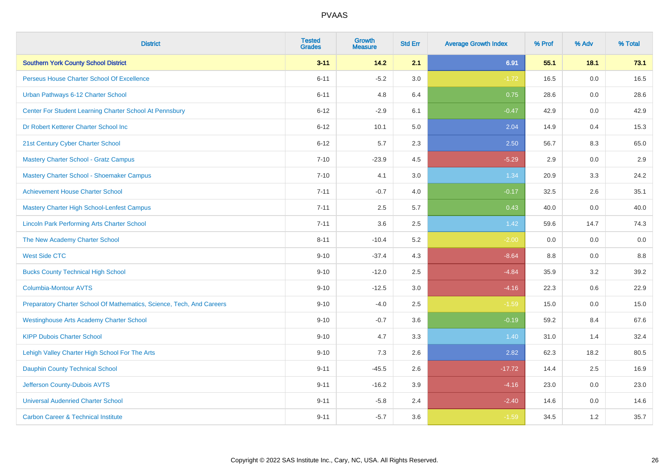| <b>District</b>                                                       | <b>Tested</b><br><b>Grades</b> | <b>Growth</b><br><b>Measure</b> | <b>Std Err</b> | <b>Average Growth Index</b> | % Prof | % Adv | % Total |
|-----------------------------------------------------------------------|--------------------------------|---------------------------------|----------------|-----------------------------|--------|-------|---------|
| <b>Southern York County School District</b>                           | $3 - 11$                       | $14.2$                          | 2.1            | 6.91                        | 55.1   | 18.1  | 73.1    |
| Perseus House Charter School Of Excellence                            | $6 - 11$                       | $-5.2$                          | 3.0            | $-1.72$                     | 16.5   | 0.0   | 16.5    |
| Urban Pathways 6-12 Charter School                                    | $6 - 11$                       | 4.8                             | 6.4            | 0.75                        | 28.6   | 0.0   | 28.6    |
| Center For Student Learning Charter School At Pennsbury               | $6 - 12$                       | $-2.9$                          | 6.1            | $-0.47$                     | 42.9   | 0.0   | 42.9    |
| Dr Robert Ketterer Charter School Inc                                 | $6 - 12$                       | 10.1                            | 5.0            | 2.04                        | 14.9   | 0.4   | 15.3    |
| 21st Century Cyber Charter School                                     | $6 - 12$                       | 5.7                             | 2.3            | 2.50                        | 56.7   | 8.3   | 65.0    |
| <b>Mastery Charter School - Gratz Campus</b>                          | $7 - 10$                       | $-23.9$                         | 4.5            | $-5.29$                     | 2.9    | 0.0   | 2.9     |
| Mastery Charter School - Shoemaker Campus                             | $7 - 10$                       | 4.1                             | 3.0            | 1.34                        | 20.9   | 3.3   | 24.2    |
| <b>Achievement House Charter School</b>                               | $7 - 11$                       | $-0.7$                          | 4.0            | $-0.17$                     | 32.5   | 2.6   | 35.1    |
| <b>Mastery Charter High School-Lenfest Campus</b>                     | $7 - 11$                       | 2.5                             | 5.7            | 0.43                        | 40.0   | 0.0   | 40.0    |
| <b>Lincoln Park Performing Arts Charter School</b>                    | $7 - 11$                       | 3.6                             | 2.5            | 1.42                        | 59.6   | 14.7  | 74.3    |
| The New Academy Charter School                                        | $8 - 11$                       | $-10.4$                         | 5.2            | $-2.00$                     | 0.0    | 0.0   | 0.0     |
| <b>West Side CTC</b>                                                  | $9 - 10$                       | $-37.4$                         | 4.3            | $-8.64$                     | 8.8    | 0.0   | 8.8     |
| <b>Bucks County Technical High School</b>                             | $9 - 10$                       | $-12.0$                         | 2.5            | $-4.84$                     | 35.9   | 3.2   | 39.2    |
| <b>Columbia-Montour AVTS</b>                                          | $9 - 10$                       | $-12.5$                         | 3.0            | $-4.16$                     | 22.3   | 0.6   | 22.9    |
| Preparatory Charter School Of Mathematics, Science, Tech, And Careers | $9 - 10$                       | $-4.0$                          | 2.5            | $-1.59$                     | 15.0   | 0.0   | 15.0    |
| <b>Westinghouse Arts Academy Charter School</b>                       | $9 - 10$                       | $-0.7$                          | 3.6            | $-0.19$                     | 59.2   | 8.4   | 67.6    |
| <b>KIPP Dubois Charter School</b>                                     | $9 - 10$                       | 4.7                             | 3.3            | 1.40                        | 31.0   | 1.4   | 32.4    |
| Lehigh Valley Charter High School For The Arts                        | $9 - 10$                       | 7.3                             | 2.6            | 2.82                        | 62.3   | 18.2  | 80.5    |
| <b>Dauphin County Technical School</b>                                | $9 - 11$                       | $-45.5$                         | 2.6            | $-17.72$                    | 14.4   | 2.5   | 16.9    |
| Jefferson County-Dubois AVTS                                          | $9 - 11$                       | $-16.2$                         | 3.9            | $-4.16$                     | 23.0   | 0.0   | 23.0    |
| <b>Universal Audenried Charter School</b>                             | $9 - 11$                       | $-5.8$                          | 2.4            | $-2.40$                     | 14.6   | 0.0   | 14.6    |
| <b>Carbon Career &amp; Technical Institute</b>                        | $9 - 11$                       | $-5.7$                          | 3.6            | $-1.59$                     | 34.5   | 1.2   | 35.7    |